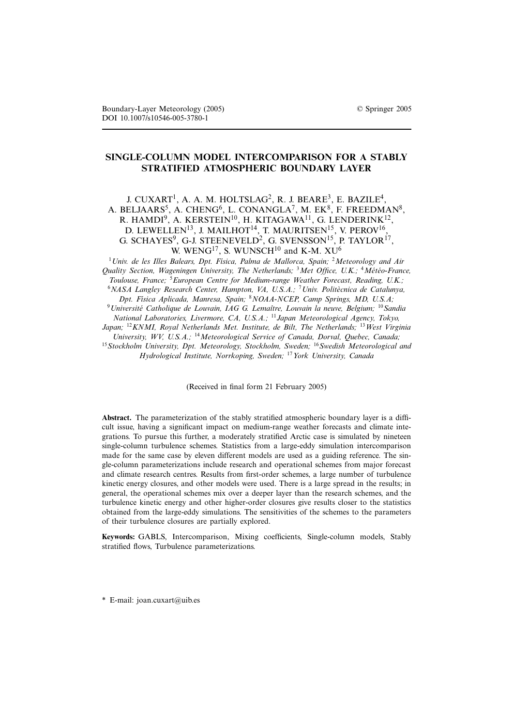# **SINGLE-COLUMN MODEL INTERCOMPARISON FOR A STABLY STRATIFIED ATMOSPHERIC BOUNDARY LAYER**

# J. CUXART<sup>1</sup>, A. A. M. HOLTSLAG<sup>2</sup>, R. J. BEARE<sup>3</sup>, E. BAZILE<sup>4</sup>, A. BELJAARS<sup>5</sup>, A. CHENG<sup>6</sup>, L. CONANGLA<sup>7</sup>, M. EK<sup>8</sup>, F. FREEDMAN<sup>8</sup>, R. HAMDI<sup>9</sup>, A. KERSTEIN<sup>10</sup>, H. KITAGAWA<sup>11</sup>, G. LENDERINK<sup>12</sup>, D. LEWELLEN<sup>13</sup>, J. MAILHOT<sup>14</sup>, T. MAURITSEN<sup>15</sup>, V. PEROV<sup>16</sup>, G. SCHAYES<sup>9</sup>, G-J. STEENEVELD<sup>2</sup>, G. SVENSSON<sup>15</sup>, P. TAYLOR<sup>17</sup>, W. WENG<sup>17</sup>, S. WUNSCH<sup>10</sup> and K-M.  $XU^6$

<sup>1</sup>*Univ. de les Illes Balears, Dpt. F´ısica, Palma de Mallorca, Spain;* <sup>2</sup>*Meteorology and Air Quality Section, Wageningen University, The Netherlands;* <sup>3</sup>*Met Office, U.K.;* <sup>4</sup>*Met´ eo-France, ´ Toulouse, France;* <sup>5</sup>*European Centre for Medium-range Weather Forecast, Reading, U.K.;* <sup>6</sup>*NASA Langley Research Center, Hampton, VA, U.S.A.;* <sup>7</sup>*Univ. Politecnica de Catalunya, ` Dpt. F´ısica Aplicada, Manresa, Spain;* <sup>8</sup>*NOAA-NCEP, Camp Springs, MD, U.S.A;* <sup>9</sup>*Universite Catholique de Louvain, IAG G. Lema ´ ˆıtre, Louvain la neuve, Belgium;* <sup>10</sup>*Sandia National Laboratories, Livermore, CA, U.S.A.;* <sup>11</sup>*Japan Meteorological Agency, Tokyo, Japan;* <sup>12</sup>*KNMI, Royal Netherlands Met. Institute, de Bilt, The Netherlands;* <sup>13</sup>*West Virginia University, WV, U.S.A.;* <sup>14</sup>*Meteorological Service of Canada, Dorval, Quebec, Canada;* <sup>15</sup>*Stockholm University, Dpt. Meteorology, Stockholm, Sweden;* <sup>16</sup>*Swedish Meteorological and Hydrological Institute, Norrkoping, Sweden;* <sup>17</sup>*York University, Canada*

(Received in final form 21 February 2005)

**Abstract.** The parameterization of the stably stratified atmospheric boundary layer is a difficult issue, having a significant impact on medium-range weather forecasts and climate integrations. To pursue this further, a moderately stratified Arctic case is simulated by nineteen single-column turbulence schemes. Statistics from a large-eddy simulation intercomparison made for the same case by eleven different models are used as a guiding reference. The single-column parameterizations include research and operational schemes from major forecast and climate research centres. Results from first-order schemes, a large number of turbulence kinetic energy closures, and other models were used. There is a large spread in the results; in general, the operational schemes mix over a deeper layer than the research schemes, and the turbulence kinetic energy and other higher-order closures give results closer to the statistics obtained from the large-eddy simulations. The sensitivities of the schemes to the parameters of their turbulence closures are partially explored.

**Keywords:** GABLS, Intercomparison, Mixing coefficients, Single-column models, Stably stratified flows, Turbulence parameterizations.

\* E-mail: joan.cuxart@uib.es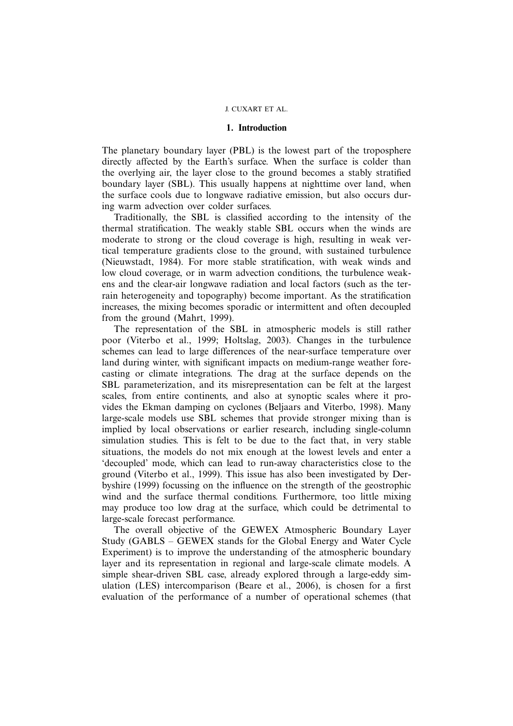# **1. Introduction**

The planetary boundary layer (PBL) is the lowest part of the troposphere directly affected by the Earth's surface. When the surface is colder than the overlying air, the layer close to the ground becomes a stably stratified boundary layer (SBL). This usually happens at nighttime over land, when the surface cools due to longwave radiative emission, but also occurs during warm advection over colder surfaces.

Traditionally, the SBL is classified according to the intensity of the thermal stratification. The weakly stable SBL occurs when the winds are moderate to strong or the cloud coverage is high, resulting in weak vertical temperature gradients close to the ground, with sustained turbulence (Nieuwstadt, 1984). For more stable stratification, with weak winds and low cloud coverage, or in warm advection conditions, the turbulence weakens and the clear-air longwave radiation and local factors (such as the terrain heterogeneity and topography) become important. As the stratification increases, the mixing becomes sporadic or intermittent and often decoupled from the ground (Mahrt, 1999).

The representation of the SBL in atmospheric models is still rather poor (Viterbo et al., 1999; Holtslag, 2003). Changes in the turbulence schemes can lead to large differences of the near-surface temperature over land during winter, with significant impacts on medium-range weather forecasting or climate integrations. The drag at the surface depends on the SBL parameterization, and its misrepresentation can be felt at the largest scales, from entire continents, and also at synoptic scales where it provides the Ekman damping on cyclones (Beljaars and Viterbo, 1998). Many large-scale models use SBL schemes that provide stronger mixing than is implied by local observations or earlier research, including single-column simulation studies. This is felt to be due to the fact that, in very stable situations, the models do not mix enough at the lowest levels and enter a 'decoupled' mode, which can lead to run-away characteristics close to the ground (Viterbo et al., 1999). This issue has also been investigated by Derbyshire (1999) focussing on the influence on the strength of the geostrophic wind and the surface thermal conditions. Furthermore, too little mixing may produce too low drag at the surface, which could be detrimental to large-scale forecast performance.

The overall objective of the GEWEX Atmospheric Boundary Layer Study (GABLS – GEWEX stands for the Global Energy and Water Cycle Experiment) is to improve the understanding of the atmospheric boundary layer and its representation in regional and large-scale climate models. A simple shear-driven SBL case, already explored through a large-eddy simulation (LES) intercomparison (Beare et al., 2006), is chosen for a first evaluation of the performance of a number of operational schemes (that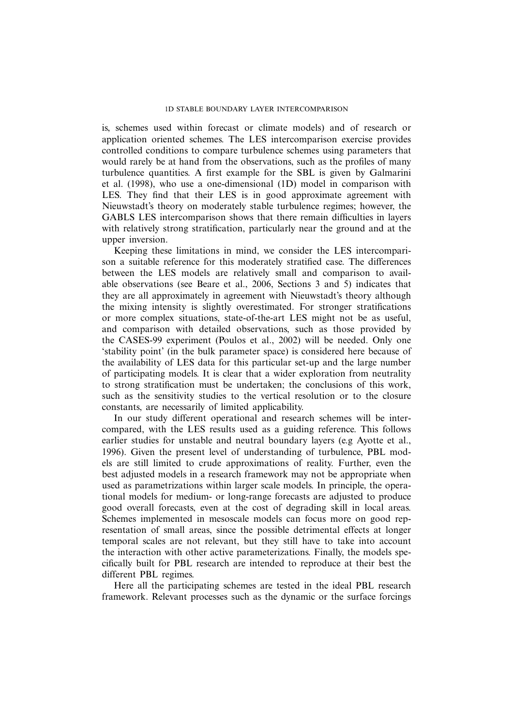is, schemes used within forecast or climate models) and of research or application oriented schemes. The LES intercomparison exercise provides controlled conditions to compare turbulence schemes using parameters that would rarely be at hand from the observations, such as the profiles of many turbulence quantities. A first example for the SBL is given by Galmarini et al. (1998), who use a one-dimensional (1D) model in comparison with LES. They find that their LES is in good approximate agreement with Nieuwstadt's theory on moderately stable turbulence regimes; however, the GABLS LES intercomparison shows that there remain difficulties in layers with relatively strong stratification, particularly near the ground and at the upper inversion.

Keeping these limitations in mind, we consider the LES intercomparison a suitable reference for this moderately stratified case. The differences between the LES models are relatively small and comparison to available observations (see Beare et al., 2006, Sections 3 and 5) indicates that they are all approximately in agreement with Nieuwstadt's theory although the mixing intensity is slightly overestimated. For stronger stratifications or more complex situations, state-of-the-art LES might not be as useful, and comparison with detailed observations, such as those provided by the CASES-99 experiment (Poulos et al., 2002) will be needed. Only one 'stability point' (in the bulk parameter space) is considered here because of the availability of LES data for this particular set-up and the large number of participating models. It is clear that a wider exploration from neutrality to strong stratification must be undertaken; the conclusions of this work, such as the sensitivity studies to the vertical resolution or to the closure constants, are necessarily of limited applicability.

In our study different operational and research schemes will be intercompared, with the LES results used as a guiding reference. This follows earlier studies for unstable and neutral boundary layers (e.g Ayotte et al., 1996). Given the present level of understanding of turbulence, PBL models are still limited to crude approximations of reality. Further, even the best adjusted models in a research framework may not be appropriate when used as parametrizations within larger scale models. In principle, the operational models for medium- or long-range forecasts are adjusted to produce good overall forecasts, even at the cost of degrading skill in local areas. Schemes implemented in mesoscale models can focus more on good representation of small areas, since the possible detrimental effects at longer temporal scales are not relevant, but they still have to take into account the interaction with other active parameterizations. Finally, the models specifically built for PBL research are intended to reproduce at their best the different PBL regimes.

Here all the participating schemes are tested in the ideal PBL research framework. Relevant processes such as the dynamic or the surface forcings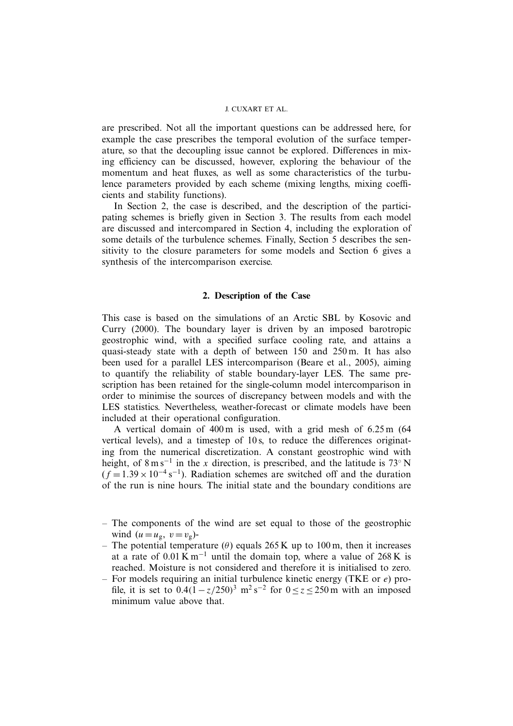are prescribed. Not all the important questions can be addressed here, for example the case prescribes the temporal evolution of the surface temperature, so that the decoupling issue cannot be explored. Differences in mixing efficiency can be discussed, however, exploring the behaviour of the momentum and heat fluxes, as well as some characteristics of the turbulence parameters provided by each scheme (mixing lengths, mixing coefficients and stability functions).

In Section 2, the case is described, and the description of the participating schemes is briefly given in Section 3. The results from each model are discussed and intercompared in Section 4, including the exploration of some details of the turbulence schemes. Finally, Section 5 describes the sensitivity to the closure parameters for some models and Section 6 gives a synthesis of the intercomparison exercise.

# **2. Description of the Case**

This case is based on the simulations of an Arctic SBL by Kosovic and Curry (2000). The boundary layer is driven by an imposed barotropic geostrophic wind, with a specified surface cooling rate, and attains a quasi-steady state with a depth of between 150 and 250 m. It has also been used for a parallel LES intercomparison (Beare et al., 2005), aiming to quantify the reliability of stable boundary-layer LES. The same prescription has been retained for the single-column model intercomparison in order to minimise the sources of discrepancy between models and with the LES statistics. Nevertheless, weather-forecast or climate models have been included at their operational configuration.

A vertical domain of 400 m is used, with a grid mesh of 6.25 m (64 vertical levels), and a timestep of 10 s, to reduce the differences originating from the numerical discretization. A constant geostrophic wind with height, of 8 m s<sup>-1</sup> in the *x* direction, is prescribed, and the latitude is 73<sup>°</sup> N  $(f = 1.39 \times 10^{-4} \text{ s}^{-1})$ . Radiation schemes are switched off and the duration of the run is nine hours. The initial state and the boundary conditions are

- The potential temperature ( $\theta$ ) equals 265 K up to 100 m, then it increases at a rate of  $0.01 \text{ K m}^{-1}$  until the domain top, where a value of 268 K is reached. Moisture is not considered and therefore it is initialised to zero.
- For models requiring an initial turbulence kinetic energy (TKE or *e*) profile, it is set to  $0.4(1 - z/250)^3$  m<sup>2</sup>s<sup>-2</sup> for  $0 \le z \le 250$  m with an imposed minimum value above that.

<sup>–</sup> The components of the wind are set equal to those of the geostrophic wind  $(u=u_{\varrho}, v=v_{\varrho})$ -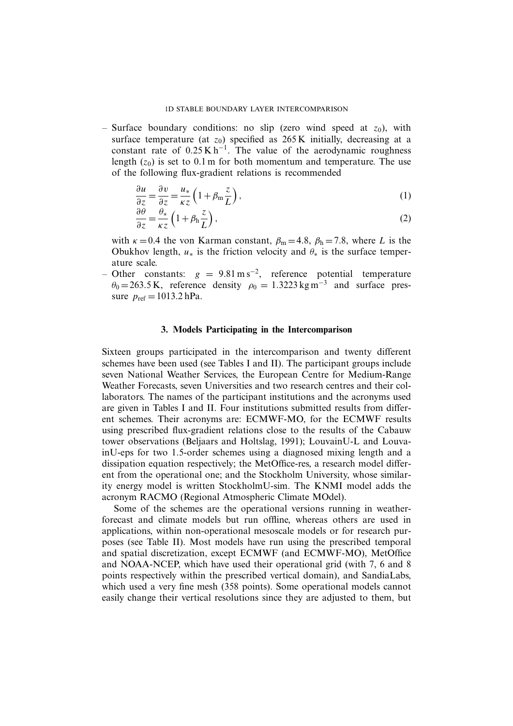– Surface boundary conditions: no slip (zero wind speed at  $z_0$ ), with surface temperature (at  $z_0$ ) specified as 265 K initially, decreasing at a constant rate of  $0.25 \text{ K h}^{-1}$ . The value of the aerodynamic roughness length  $(z_0)$  is set to 0.1 m for both momentum and temperature. The use of the following flux-gradient relations is recommended

$$
\frac{\partial u}{\partial z} = \frac{\partial v}{\partial z} = \frac{u_*}{\kappa z} \left( 1 + \beta_m \frac{z}{L} \right),\tag{1}
$$

$$
\frac{\partial \theta}{\partial z} = \frac{\theta_*}{\kappa z} \left( 1 + \beta_h \frac{z}{L} \right),\tag{2}
$$

*κz L* with  $\kappa = 0.4$  the von Karman constant,  $\beta_m = 4.8$ ,  $\beta_h = 7.8$ , where *L* is the Obukhov length *u* is the friction velocity and *θ* is the surface temper-Obukhov length,  $u_*$  is the friction velocity and  $\theta_*$  is the surface temperature scale.

– Other constants: *<sup>g</sup>* <sup>=</sup> <sup>9</sup>*.*81 m s−2, reference potential temperature  $\theta_0 = 263.5 \text{ K}$ , reference density  $\rho_0 = 1.3223 \text{ kg m}^{-3}$  and surface pressure  $p_{ref} = 1013.2$  hPa.

# **3. Models Participating in the Intercomparison**

Sixteen groups participated in the intercomparison and twenty different schemes have been used (see Tables I and II). The participant groups include seven National Weather Services, the European Centre for Medium-Range Weather Forecasts, seven Universities and two research centres and their collaborators. The names of the participant institutions and the acronyms used are given in Tables I and II. Four institutions submitted results from different schemes. Their acronyms are: ECMWF-MO, for the ECMWF results using prescribed flux-gradient relations close to the results of the Cabauw tower observations (Beljaars and Holtslag, 1991); LouvainU-L and LouvainU-eps for two 1.5-order schemes using a diagnosed mixing length and a dissipation equation respectively; the MetOffice-res, a research model different from the operational one; and the Stockholm University, whose similarity energy model is written StockholmU-sim. The KNMI model adds the acronym RACMO (Regional Atmospheric Climate MOdel).

Some of the schemes are the operational versions running in weatherforecast and climate models but run offline, whereas others are used in applications, within non-operational mesoscale models or for research purposes (see Table II). Most models have run using the prescribed temporal and spatial discretization, except ECMWF (and ECMWF-MO), MetOffice and NOAA-NCEP, which have used their operational grid (with 7, 6 and 8 points respectively within the prescribed vertical domain), and SandiaLabs, which used a very fine mesh (358 points). Some operational models cannot easily change their vertical resolutions since they are adjusted to them, but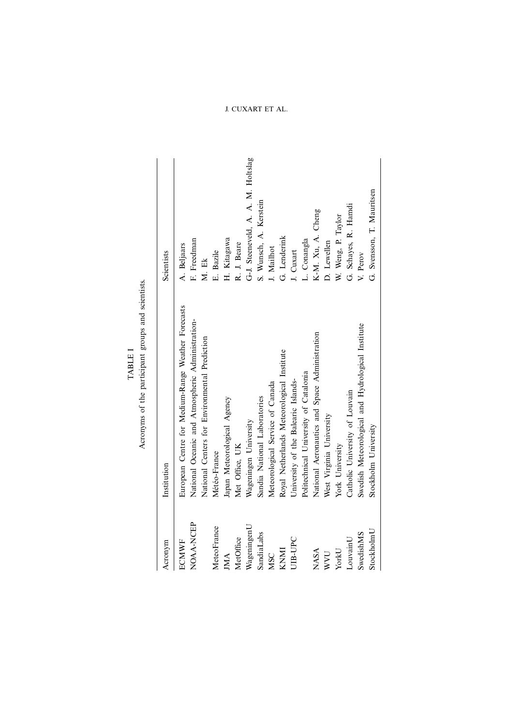| Acronym      | Institution                                        | Scientists                         |
|--------------|----------------------------------------------------|------------------------------------|
| <b>ECMWF</b> | European Centre for Medium-Range Weather Forecasts | A. Beljaars                        |
| NOAA-NCEP    | National Oceanic and Atmospheric Administration-   | F. Freedman                        |
|              | National Centers for Environmental Prediction      | M. Ek                              |
| MeteoFrance  | Météo-France                                       | E. Bazile                          |
| JMA          | Japan Meteorological Agency                        | H. Kitagawa                        |
| MetOffice    | Met Office, UK                                     | R. J. Beare                        |
| WageningenU  | Wageningen University                              | G-J. Steeneveld, A. A. M. Holtslag |
| SandiaLabs   | Sandia National Laboratories                       | S. Wunsch, A. Kerstein             |
| <b>MSC</b>   | Meteorological Service of Canada                   | J. Mailhot                         |
| KNMI         | Royal Netherlands Meteorological Institute         | G. Lenderink                       |
| UIB-UPC      | University of the Balearic Islands-                | J. Cuxart                          |
|              | Politechnical University of Catalonia              | L. Conangla                        |
| <b>NASA</b>  | National Aeronautics and Space Administration      | K-M. Xu, A. Cheng                  |
| <b>NVU</b>   | West Virginia University                           | D. Lewellen                        |
| YorkU        | York University                                    | W. Weng, P. Taylor                 |
| LouvainU     | Catholic University of Louvain                     | G. Schayes, R. Hamdi               |
| SwedishMS    | Swedish Meteorological and Hydrological Institute  | V. Perov                           |
| StockholmU   | Stockholm University                               | G. Svensson, T. Mauritsen          |

# $\begin{tabular}{ll} \bf{TABLE I} \end{tabular}$ TABLE I

# J. CUXART ET AL.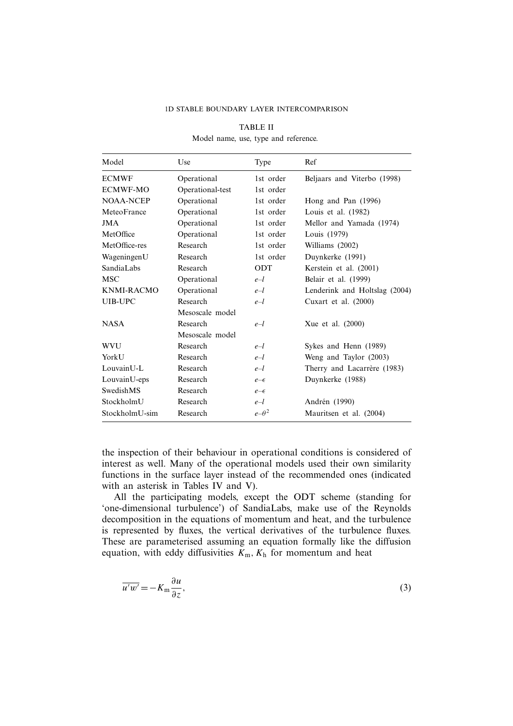| Model                     | Use              | Type         | Ref                           |  |  |
|---------------------------|------------------|--------------|-------------------------------|--|--|
| <b>ECMWF</b>              | Operational      | 1st order    | Beljaars and Viterbo (1998)   |  |  |
| ECMWF-MO                  | Operational-test | 1st order    |                               |  |  |
| <b>NOAA-NCEP</b>          | Operational      | 1st order    | Hong and Pan $(1996)$         |  |  |
| MeteoFrance               | Operational      | 1st order    | Louis et al. $(1982)$         |  |  |
| <b>JMA</b>                | Operational      | 1st order    | Mellor and Yamada (1974)      |  |  |
| MetOffice                 | Operational      | 1st order    | Louis (1979)                  |  |  |
| MetOffice-res             | Research         | 1st order    | Williams (2002)               |  |  |
| WageningenU               | Research         | 1st order    | Duynkerke (1991)              |  |  |
| SandiaLabs                | Research         | ODT          | Kerstein et al. (2001)        |  |  |
| <b>MSC</b>                | Operational      | $e-l$        | Belair et al. (1999)          |  |  |
| KNMI-RACMO                | Operational      | $e-l$        | Lenderink and Holtslag (2004) |  |  |
| <b>UIB-UPC</b>            | Research         | $e-l$        | Cuxart et al. $(2000)$        |  |  |
|                           | Mesoscale model  |              |                               |  |  |
| <b>NASA</b>               | Research         | $e-l$        | Xue et al. $(2000)$           |  |  |
|                           | Mesoscale model  |              |                               |  |  |
| <b>WVU</b>                | Research         | $e-l$        | Sykes and Henn (1989)         |  |  |
| YorkU                     | Research         | $e-l$        | Weng and Taylor (2003)        |  |  |
| Louvain U-L               | Research         | $e-l$        | Therry and Lacarrère (1983)   |  |  |
| Louvain <sub>U</sub> -eps | Research         | $e-\epsilon$ | Duynkerke (1988)              |  |  |
| SwedishMS                 | Research         | $e-\epsilon$ |                               |  |  |
| StockholmU                | Research         | e-l          | Andrén (1990)                 |  |  |
| StockholmU-sim            | Research         |              | Mauritsen et al. (2004)       |  |  |

|                                      | <b>TABLE II</b> |  |
|--------------------------------------|-----------------|--|
| Model name, use, type and reference. |                 |  |

the inspection of their behaviour in operational conditions is considered of interest as well. Many of the operational models used their own similarity functions in the surface layer instead of the recommended ones (indicated with an asterisk in Tables IV and V).

All the participating models, except the ODT scheme (standing for 'one-dimensional turbulence') of SandiaLabs, make use of the Reynolds decomposition in the equations of momentum and heat, and the turbulence is represented by fluxes, the vertical derivatives of the turbulence fluxes. These are parameterised assuming an equation formally like the diffusion equation, with eddy diffusivities *<sup>K</sup>*<sup>m</sup>*, K*<sup>h</sup> for momentum and heat

$$
\overline{u'w'} = -K_{\rm m} \frac{\partial u}{\partial z},\tag{3}
$$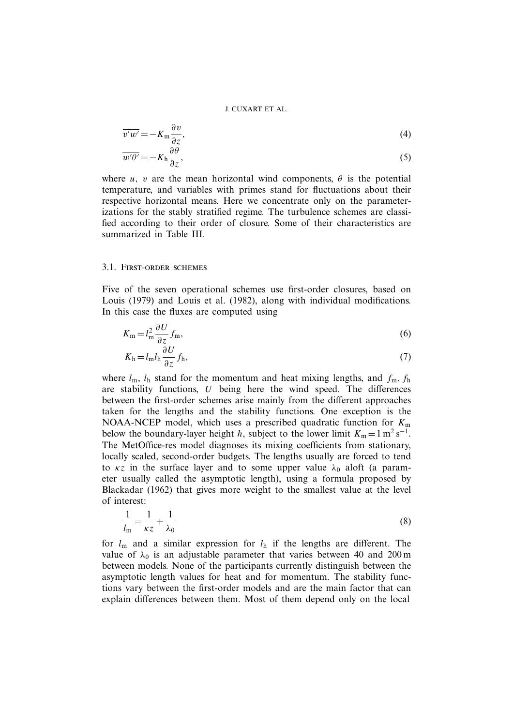$$
\overline{v'w'} = -K_m \frac{\partial v}{\partial z},
$$
\n
$$
\overline{v'w'} = -K_m \frac{\partial v}{\partial \theta},
$$
\n(4)

$$
\overline{w'\theta'} = -K_{\rm h} \frac{\partial \theta}{\partial z},\tag{5}
$$

where *u*, *v* are the mean horizontal wind components,  $\theta$  is the potential temperature, and variables with primes stand for fluctuations about their respective horizontal means. Here we concentrate only on the parameterizations for the stably stratified regime. The turbulence schemes are classified according to their order of closure. Some of their characteristics are summarized in Table III.

# 3.1. First-order schemes

Five of the seven operational schemes use first-order closures, based on Louis (1979) and Louis et al. (1982), along with individual modifications. In this case the fluxes are computed using

$$
K_{\rm m} = l_{\rm m}^2 \frac{\partial U}{\partial z} f_{\rm m},\tag{6}
$$

$$
K_{\rm h} = l_{\rm m} l_{\rm h} \frac{\partial U}{\partial z} f_{\rm h},\tag{7}
$$

where  $l_m$ ,  $l_h$  stand for the momentum and heat mixing lengths, and  $f_m$ ,  $f_h$ <br>are stability functions II being here the wind speed. The differences are stability functions, *U* being here the wind speed. The differences between the first-order schemes arise mainly from the different approaches taken for the lengths and the stability functions. One exception is the NOAA-NCEP model, which uses a prescribed quadratic function for *<sup>K</sup>*<sup>m</sup> below the boundary-layer height *h*, subject to the lower limit  $K_m = 1 \text{ m}^2 \text{ s}^{-1}$ . The MetOffice-res model diagnoses its mixing coefficients from stationary, locally scaled, second-order budgets. The lengths usually are forced to tend to  $\kappa z$  in the surface layer and to some upper value  $\lambda_0$  aloft (a parameter usually called the asymptotic length), using a formula proposed by Blackadar (1962) that gives more weight to the smallest value at the level of interest:

$$
\frac{1}{l_{\rm m}} = \frac{1}{\kappa z} + \frac{1}{\lambda_0} \tag{8}
$$

for  $l_m$  and a similar expression for  $l_h$  if the lengths are different. The value of  $\lambda_0$  is an adjustable parameter that varies between 40 and 200 m value of  $\lambda_0$  is an adjustable parameter that varies between 40 and 200 m between models. None of the participants currently distinguish between the asymptotic length values for heat and for momentum. The stability functions vary between the first-order models and are the main factor that can explain differences between them. Most of them depend only on the local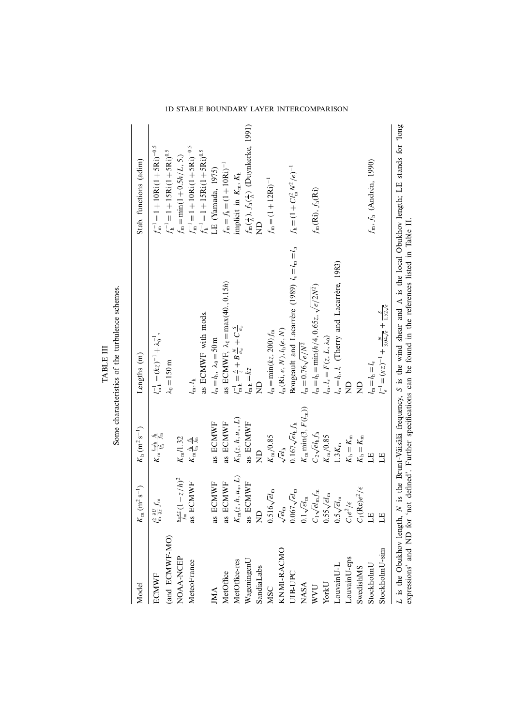| Model          | $K_{\rm m}\,(\rm m^2\,s^{-1})$                        | $K_{\rm h}$ (m <sup>2</sup> s <sup>-1</sup> )                                | Lengths (m)                                                                                                                                                                                                                                              | Stab. functions (adim)                                                |
|----------------|-------------------------------------------------------|------------------------------------------------------------------------------|----------------------------------------------------------------------------------------------------------------------------------------------------------------------------------------------------------------------------------------------------------|-----------------------------------------------------------------------|
| <b>ECMWF</b>   | $l_{\rm m}^2 \frac{\partial U}{\partial z} f_{\rm m}$ | $K$ m $\frac{l_{\rm m}l_{\rm h}}{l_{\rm m}^2}$ $\frac{f_{\rm h}}{f_{\rm m}}$ | $l_{\rm m,h}^{-1} = (kz)^{-1} + \lambda_0^{-1},$                                                                                                                                                                                                         | $f_{\rm m}^{-1}$ = 1 + 10Ri(1 + 5Ri) <sup>-0.5</sup>                  |
| (and ECMWF-MO) |                                                       |                                                                              | $\lambda_0\!=\!150\,\mathrm{m}$                                                                                                                                                                                                                          | $f_h^{-1} = 1 + 15Ri(1 + 5Ri)^{0.5}$                                  |
| NOAA-NCEP      | $\frac{u_{*}\kappa z}{f} (1 - z/h)^2$<br>Ĵm,          | $K_{\rm m}$ /1.32                                                            |                                                                                                                                                                                                                                                          | $f_m = \min(1 + 0.5h/L, 5.)$                                          |
| MeteoFrance    | ECMWF<br>as                                           | $K$ m $\frac{l_{\rm h}}{l_{\rm m}}$ $\frac{f_{\rm h}}{f_{\rm m}}$            | $l_{\rm m}, l_{\rm h}$                                                                                                                                                                                                                                   | $f_{\rm m}^{-1}$ = 1 + 10Ri(1 + 5Ri) <sup>-0.5</sup>                  |
|                |                                                       |                                                                              | as ECMWF with mods.                                                                                                                                                                                                                                      | $f_h^{-1} = 1 + 15Ri(1 + 5Ri)^{0.5}$                                  |
| <b>JMA</b>     | <b>ECMWF</b><br>as                                    | as ECMWF                                                                     | $l_m = l_h$ , $\lambda_0 = 50$ m                                                                                                                                                                                                                         | LE (Yamada, 1975)                                                     |
| MetOffice      | ECMWF<br>as                                           | as ECMWF                                                                     | as ECMWF, $\lambda_0 = \max(40., 0.15h)$                                                                                                                                                                                                                 | $f_m = f_h = (1 + 10Ri)^{-1}$                                         |
| MetOffice-res  | $(z, h, u_*, L)$<br>$K_{\rm m}$ (                     | $K_{h}(z, h, u_*, L)$                                                        | $l_{\mathrm{m,h}}^{-1}=\frac{A}{z}+B\frac{N}{\sigma_w}+C\frac{S}{\sigma_w}$                                                                                                                                                                              | implicit in $K_m$ , $K_h$                                             |
| WageningenU    | ECMWF<br>as.                                          | as ECMWF                                                                     | $l_{\mathrm{m,h}}\!=\!kz$                                                                                                                                                                                                                                | $f_m(\frac{z}{\Lambda})$ , $f_h(\frac{z}{\Lambda})$ (Duynkerke, 1991) |
| SandiaLabs     | $\Xi$                                                 | $\Xi$                                                                        | g                                                                                                                                                                                                                                                        |                                                                       |
| MSC            | $0.516\sqrt{el_{\rm m}}$                              | $K_{\rm m}/0.85$                                                             | $l_{\rm m} = \min(kz, 200) f_{\rm m}$                                                                                                                                                                                                                    | $f_m = (1 + 12Ri)^{-1}$                                               |
| KNMI-RACMO     | $\sqrt{e} l_{\rm m}$                                  | $\sqrt{e} l_\text{h}$                                                        | $l_{\rm m}$ (Ri, e, N), $l_{\rm h}(e, N)$                                                                                                                                                                                                                |                                                                       |
| UIB-UPC        | $0.067\sqrt{e}l_{\rm m}$                              | $0.167\sqrt{e}l_\mathrm{h}f_\mathrm{h}$                                      | Bougeault and Lacarrère (1989) $l_{\epsilon} = l_{\rm m} = l_{\rm h}$                                                                                                                                                                                    | $f_{\rm h} = (1 + C l_{\rm m}^2 N^2/e)^{-1}$                          |
| NASA           | $0.1\sqrt{e} l_{\rm m}$                               | $K_{\rm m}$ min(3, $F(l_{\rm m})$ )                                          | $l_{\rm m}\,{=}\,0.76\sqrt{e/N^2}$                                                                                                                                                                                                                       |                                                                       |
| <b>NAM</b>     | $C_1\sqrt{e}l_{\rm m}f_{\rm m}$                       | $C_2\sqrt{el_{\rm h}}f_{\rm h}$                                              | $l_{\rm m} = l_{\rm h} = \min(h/4, 0.65z, \sqrt{e/2}N^2)$                                                                                                                                                                                                | $f_m(Ri)$ , $f_h(Ri)$                                                 |
| ${\tt YorkU}$  | $0.55\sqrt{e}l_{\rm m}$                               | $K_{\rm m}/0.85$                                                             | $l_{\rm m}, l_{\epsilon} = F(z, L, \lambda_0)$                                                                                                                                                                                                           |                                                                       |
| LouvainU-L     | $0.5\sqrt{e}l_{\rm m}$                                | $1.3K_{\rm m}$                                                               | $l_m = l_h, l_e$ (Therry and Lacarrere, 1983)                                                                                                                                                                                                            |                                                                       |
| LouvainU-eps   | $C_1e^2/\epsilon$                                     | $K_{\rm h} = K_{\rm m}$                                                      | £                                                                                                                                                                                                                                                        |                                                                       |
| SwedishMS      | $C_1(\text{Re})e^2/\epsilon$                          | $K_{\rm h}\!=\!K_{\rm m}$                                                    | ₿                                                                                                                                                                                                                                                        |                                                                       |
| StockholmU     | H                                                     | Β                                                                            | $l_{\rm m} = l_{\rm h} = l_{\rm e}$                                                                                                                                                                                                                      | $f_\mathrm{m},$ $f_\mathrm{h}$ (Andrén, 1990)                         |
| StockholmU-sim | $\mathbb{H}$                                          | H                                                                            | $l_{\epsilon}^{-1} = (\kappa z)^{-1} + \frac{N}{3.04\sqrt{e}} + \frac{S}{1.52\sqrt{e}}$                                                                                                                                                                  |                                                                       |
|                |                                                       |                                                                              | L is the Obukhov length, N is the Brunt-Väisälä frequency, S is the wind shear and A is the local Obukhov length; LE stands for 'long<br>expressions' and ND for 'not defined'. Further specifications can be found in the references listed in Table II |                                                                       |

Some characteristics of the turbulence schemes. Some characteristics of the turbulence schemes.  $\ensuremath{\mathsf{TABLE}}\xspace$  III TABLE III

1D STABLE BOUNDARY LAYER INTERCOMPARISON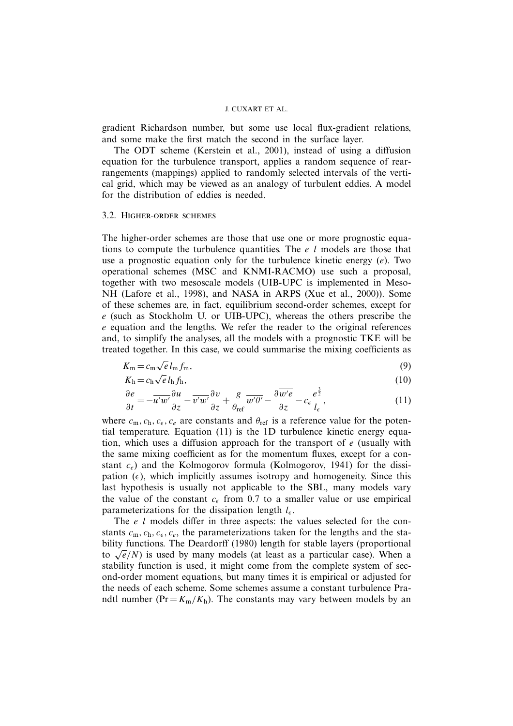gradient Richardson number, but some use local flux-gradient relations, and some make the first match the second in the surface layer.

The ODT scheme (Kerstein et al., 2001), instead of using a diffusion equation for the turbulence transport, applies a random sequence of rearrangements (mappings) applied to randomly selected intervals of the vertical grid, which may be viewed as an analogy of turbulent eddies. A model for the distribution of eddies is needed.

### 3.2. Higher-order schemes

The higher-order schemes are those that use one or more prognostic equations to compute the turbulence quantities. The *e*–*l* models are those that use a prognostic equation only for the turbulence kinetic energy (*e*). Two operational schemes (MSC and KNMI-RACMO) use such a proposal, together with two mesoscale models (UIB-UPC is implemented in Meso-NH (Lafore et al., 1998), and NASA in ARPS (Xue et al., 2000)). Some of these schemes are, in fact, equilibrium second-order schemes, except for *e* (such as Stockholm U. or UIB-UPC), whereas the others prescribe the *e* equation and the lengths. We refer the reader to the original references and, to simplify the analyses, all the models with a prognostic TKE will be treated together. In this case, we could summarise the mixing coefficients as

$$
K_{\rm m} = c_{\rm m} \sqrt{e} l_{\rm m} f_{\rm m},\tag{9}
$$

$$
K_{\rm h} = c_{\rm h} \sqrt{e} l_{\rm h} f_{\rm h},\tag{10}
$$

$$
\frac{\partial e}{\partial t} = -\overline{u'w'} \frac{\partial u}{\partial z} - \overline{v'w'} \frac{\partial v}{\partial z} + \frac{g}{\theta_{\text{ref}}} \overline{w'\theta'} - \frac{\partial \overline{w'e}}{\partial z} - c_{\epsilon} \frac{e^{\frac{z}{2}}}{l_{\epsilon}},\tag{11}
$$

 $\frac{\partial^2 f}{\partial t} = -u'w'\frac{\partial f}{\partial z} - v'w'\frac{\partial f}{\partial z} + \frac{\partial^2 f}{\partial z}w'\theta' - \frac{\partial^2 f}{\partial z} - c_{\epsilon} \frac{\partial f}{\partial z}$ , (11)<br>where  $c_m, c_h, c_{\epsilon}, c_e$  are constants and  $\theta_{ref}$  is a reference value for the poten-<br>tial temperature. Fountion (11) is the 1D tial temperature. Equation (11) is the 1D turbulence kinetic energy equation, which uses a diffusion approach for the transport of *e* (usually with the same mixing coefficient as for the momentum fluxes, except for a constant *ce*) and the Kolmogorov formula (Kolmogorov, 1941) for the dissipation  $(\epsilon)$ , which implicitly assumes isotropy and homogeneity. Since this last hypothesis is usually not applicable to the SBL, many models vary the value of the constant  $c_{\epsilon}$  from 0.7 to a smaller value or use empirical parameterizations for the dissipation length  $l_{\epsilon}$ .

The *e*–*l* models differ in three aspects: the values selected for the constants  $c_m$ ,  $c_h$ ,  $c_e$ , the parameterizations taken for the lengths and the stability functions. The Deardorff (1980) length for stable layers (proportional to  $\sqrt{e}/N$ ) is used by many models (at least as a particular case). When a stability function is used, it might come from the complete system of second-order moment equations, but many times it is empirical or adjusted for the needs of each scheme. Some schemes assume a constant turbulence Prandtl number ( $Pr = K_m/K_h$ ). The constants may vary between models by an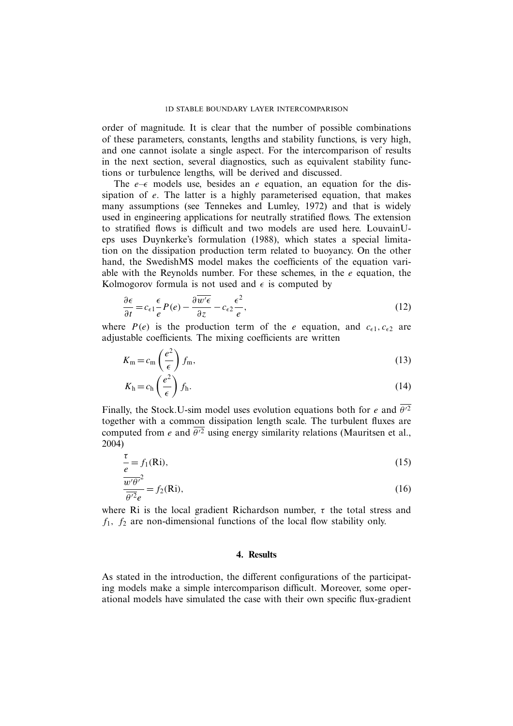order of magnitude. It is clear that the number of possible combinations of these parameters, constants, lengths and stability functions, is very high, and one cannot isolate a single aspect. For the intercomparison of results in the next section, several diagnostics, such as equivalent stability functions or turbulence lengths, will be derived and discussed.

The  $e$ – $\epsilon$  models use, besides an *e* equation, an equation for the dissipation of *e*. The latter is a highly parameterised equation, that makes many assumptions (see Tennekes and Lumley, 1972) and that is widely used in engineering applications for neutrally stratified flows. The extension to stratified flows is difficult and two models are used here. LouvainUeps uses Duynkerke's formulation (1988), which states a special limitation on the dissipation production term related to buoyancy. On the other hand, the SwedishMS model makes the coefficients of the equation variable with the Reynolds number. For these schemes, in the *e* equation, the Kolmogorov formula is not used and  $\epsilon$  is computed by

$$
\frac{\partial \epsilon}{\partial t} = c_{\epsilon 1} \frac{\epsilon}{e} P(e) - \frac{\partial \overline{w'} \epsilon}{\partial z} - c_{\epsilon 2} \frac{\epsilon^2}{e},\tag{12}
$$

where  $P(e)$  is the production term of the *e* equation, and  $c_{\epsilon 1}, c_{\epsilon 2}$  are adjustable coefficients. The mixing coefficients are written adjustable coefficients. The mixing coefficients are written

$$
K_{\rm m} = c_{\rm m} \left(\frac{e^2}{\epsilon}\right) f_{\rm m},\tag{13}
$$

$$
K_{\rm h} = c_{\rm h} \left(\frac{e^2}{\epsilon}\right) f_{\rm h}.\tag{14}
$$

Finally, the Stock.U-sim model uses evolution equations both for *e* and  $\theta'^2$  together with a common dissination length scale. The turbulent fluxes are together with a common dissipation length scale. The turbulent fluxes are computed from *e* and  $\overline{\theta'^2}$  using energy similarity relations (Mauritsen et al., 2004)

$$
\frac{t}{e} = f_1(\text{Ri}),\tag{15}
$$

$$
\frac{\overline{w'\theta'}^2}{\overline{\theta'^2}e} = f_2(\text{Ri}),\tag{16}
$$
\ne. B<sub>i</sub> is the local gradient. Bichardson number,  $\tau$ , the total stress, and

where Ri is the local gradient Richardson number,  $\tau$  the total stress and  $f_t$ ,  $f_2$  are non-dimensional functions of the local flow stability only *<sup>f</sup>*<sup>1</sup>*, f*<sup>2</sup> are non-dimensional functions of the local flow stability only.

# **4. Results**

As stated in the introduction, the different configurations of the participating models make a simple intercomparison difficult. Moreover, some operational models have simulated the case with their own specific flux-gradient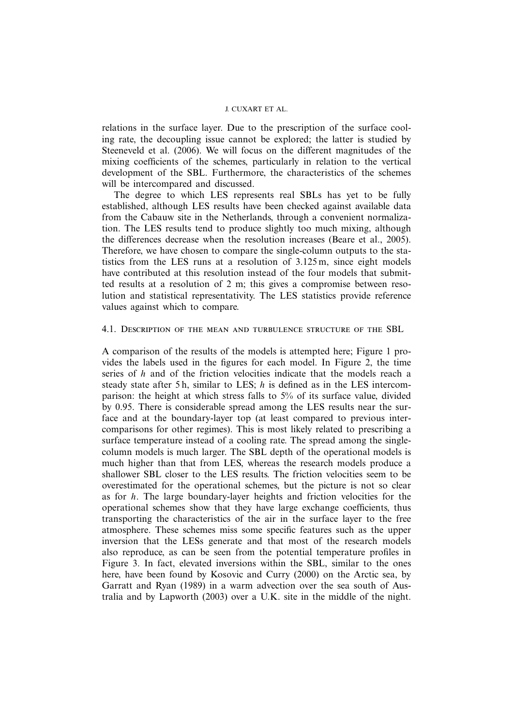relations in the surface layer. Due to the prescription of the surface cooling rate, the decoupling issue cannot be explored; the latter is studied by Steeneveld et al. (2006). We will focus on the different magnitudes of the mixing coefficients of the schemes, particularly in relation to the vertical development of the SBL. Furthermore, the characteristics of the schemes will be intercompared and discussed.

The degree to which LES represents real SBLs has yet to be fully established, although LES results have been checked against available data from the Cabauw site in the Netherlands, through a convenient normalization. The LES results tend to produce slightly too much mixing, although the differences decrease when the resolution increases (Beare et al., 2005). Therefore, we have chosen to compare the single-column outputs to the statistics from the LES runs at a resolution of 3.125 m, since eight models have contributed at this resolution instead of the four models that submitted results at a resolution of 2 m; this gives a compromise between resolution and statistical representativity. The LES statistics provide reference values against which to compare.

### 4.1. Description of the mean and turbulence structure of the SBL

A comparison of the results of the models is attempted here; Figure 1 provides the labels used in the figures for each model. In Figure 2, the time series of *h* and of the friction velocities indicate that the models reach a steady state after 5 h, similar to LES; *h* is defined as in the LES intercomparison: the height at which stress falls to 5% of its surface value, divided by 0.95. There is considerable spread among the LES results near the surface and at the boundary-layer top (at least compared to previous intercomparisons for other regimes). This is most likely related to prescribing a surface temperature instead of a cooling rate. The spread among the singlecolumn models is much larger. The SBL depth of the operational models is much higher than that from LES, whereas the research models produce a shallower SBL closer to the LES results. The friction velocities seem to be overestimated for the operational schemes, but the picture is not so clear as for *h*. The large boundary-layer heights and friction velocities for the operational schemes show that they have large exchange coefficients, thus transporting the characteristics of the air in the surface layer to the free atmosphere. These schemes miss some specific features such as the upper inversion that the LESs generate and that most of the research models also reproduce, as can be seen from the potential temperature profiles in Figure 3. In fact, elevated inversions within the SBL, similar to the ones here, have been found by Kosovic and Curry (2000) on the Arctic sea, by Garratt and Ryan (1989) in a warm advection over the sea south of Australia and by Lapworth (2003) over a U.K. site in the middle of the night.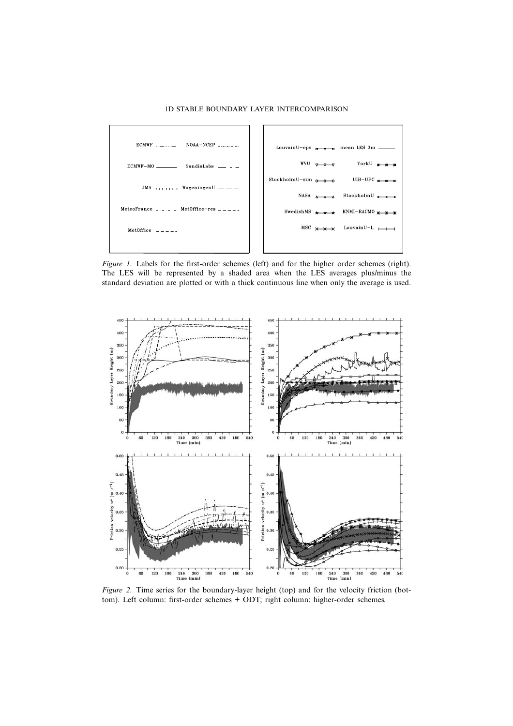

1D STABLE BOUNDARY LAYER INTERCOMPARISON

*Figure 1.* Labels for the first-order schemes (left) and for the higher order schemes (right). The LES will be represented by a shaded area when the LES averages plus/minus the standard deviation are plotted or with a thick continuous line when only the average is used.



*Figure 2.* Time series for the boundary-layer height (top) and for the velocity friction (bottom). Left column: first-order schemes + ODT; right column: higher-order schemes.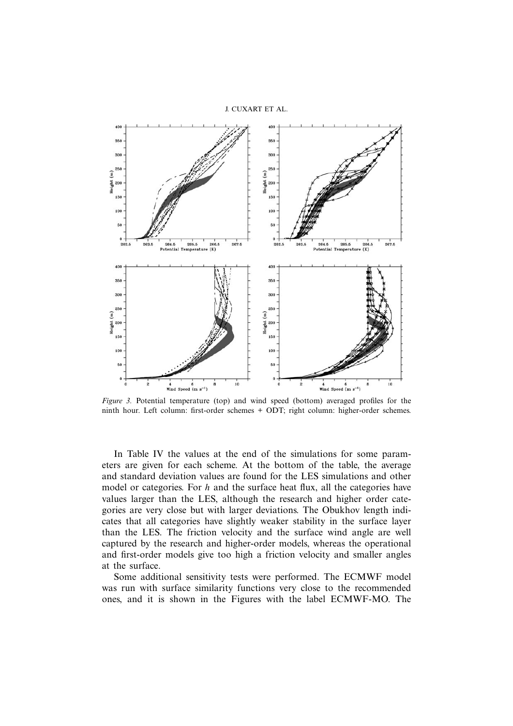

*Figure 3.* Potential temperature (top) and wind speed (bottom) averaged profiles for the ninth hour. Left column: first-order schemes + ODT; right column: higher-order schemes.

In Table IV the values at the end of the simulations for some parameters are given for each scheme. At the bottom of the table, the average and standard deviation values are found for the LES simulations and other model or categories. For *h* and the surface heat flux, all the categories have values larger than the LES, although the research and higher order categories are very close but with larger deviations. The Obukhov length indicates that all categories have slightly weaker stability in the surface layer than the LES. The friction velocity and the surface wind angle are well captured by the research and higher-order models, whereas the operational and first-order models give too high a friction velocity and smaller angles at the surface.

Some additional sensitivity tests were performed. The ECMWF model was run with surface similarity functions very close to the recommended ones, and it is shown in the Figures with the label ECMWF-MO. The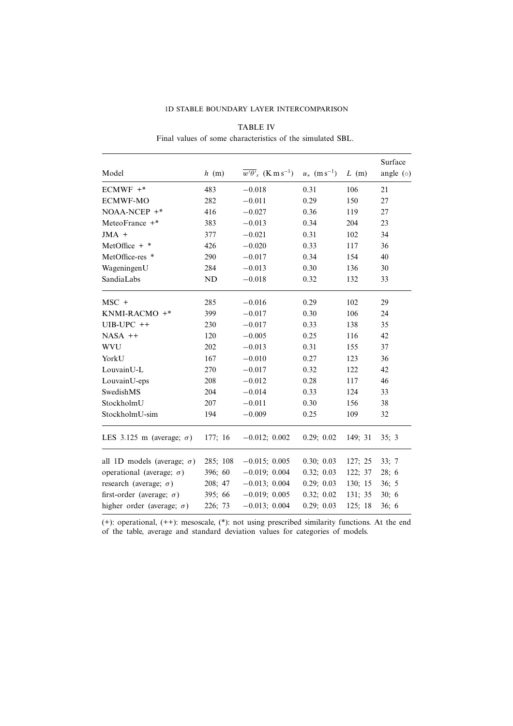| Model                              | h(m)     | $\overline{w'\theta'}_s$ (K m s <sup>-1</sup> ) | $u_*$ (m s <sup>-1</sup> ) | L(m)    | Surface<br>angle $(o)$ |
|------------------------------------|----------|-------------------------------------------------|----------------------------|---------|------------------------|
| $ECMWF$ +*                         | 483      | $-0.018$                                        | 0.31                       | 106     | 21                     |
| <b>ECMWF-MO</b>                    | 282      | $-0.011$                                        | 0.29                       | 150     | 27                     |
| NOAA-NCEP +*                       | 416      | $-0.027$                                        | 0.36                       | 119     | 27                     |
| MeteoFrance +*                     | 383      | $-0.013$                                        | 0.34                       | 204     | 23                     |
| $JMA +$                            | 377      | $-0.021$                                        | 0.31                       | 102     | 34                     |
| MetOffice $+$ *                    | 426      | $-0.020$                                        | 0.33                       | 117     | 36                     |
| MetOffice-res *                    | 290      | $-0.017$                                        | 0.34                       | 154     | 40                     |
| WageningenU                        | 284      | $-0.013$                                        | 0.30                       | 136     | 30                     |
| SandiaLabs                         | ND       | $-0.018$                                        | 0.32                       | 132     | 33                     |
| $MSC +$                            | 285      | $-0.016$                                        | 0.29                       | 102     | 29                     |
| KNMI-RACMO +*                      | 399      | $-0.017$                                        | 0.30                       | 106     | 24                     |
| $UIB-UPC$ ++                       | 230      | $-0.017$                                        | 0.33                       | 138     | 35                     |
| NASA ++                            | 120      | $-0.005$                                        | 0.25                       | 116     | 42                     |
| <b>WVU</b>                         | 202      | $-0.013$                                        | 0.31                       | 155     | 37                     |
| YorkU                              | 167      | $-0.010$                                        | 0.27                       | 123     | 36                     |
| LouvainU-L                         | 270      | $-0.017$                                        | 0.32                       | 122     | 42                     |
| Louvain <sub>U</sub> -eps          | 208      | $-0.012$                                        | 0.28                       | 117     | 46                     |
| SwedishMS                          | 204      | $-0.014$                                        | 0.33                       | 124     | 33                     |
| StockholmU                         | 207      | $-0.011$                                        | 0.30                       | 156     | 38                     |
| StockholmU-sim                     | 194      | $-0.009$                                        | 0.25                       | 109     | 32                     |
| LES 3.125 m (average; $\sigma$ )   | 177; 16  | $-0.012; 0.002$                                 | 0.29; 0.02                 | 149; 31 | 35; 3                  |
| all 1D models (average; $\sigma$ ) | 285; 108 | $-0.015; 0.005$                                 | 0.30; 0.03                 | 127; 25 | 33; 7                  |
| operational (average; $\sigma$ )   | 396; 60  | $-0.019; 0.004$                                 | 0.32; 0.03                 | 122; 37 | 28; 6                  |
| research (average; $\sigma$ )      | 208; 47  | $-0.013; 0.004$                                 | 0.29; 0.03                 | 130; 15 | 36; 5                  |
| first-order (average; $\sigma$ )   | 395; 66  | $-0.019; 0.005$                                 | 0.32; 0.02                 | 131; 35 | 30; 6                  |
| higher order (average; $\sigma$ )  | 226; 73  | $-0.013; 0.004$                                 | 0.29; 0.03                 | 125; 18 | 36; 6                  |

TABLE IV Final values of some characteristics of the simulated SBL.

(+): operational, (++): mesoscale, (\*): not using prescribed similarity functions. At the end of the table, average and standard deviation values for categories of models.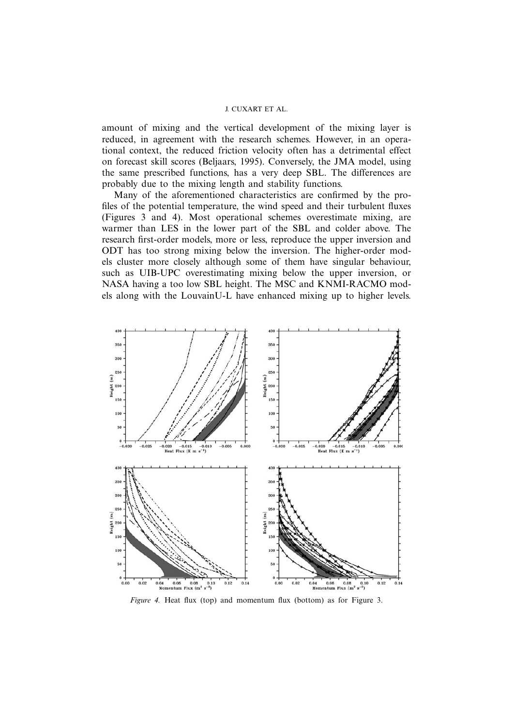amount of mixing and the vertical development of the mixing layer is reduced, in agreement with the research schemes. However, in an operational context, the reduced friction velocity often has a detrimental effect on forecast skill scores (Beljaars, 1995). Conversely, the JMA model, using the same prescribed functions, has a very deep SBL. The differences are probably due to the mixing length and stability functions.

Many of the aforementioned characteristics are confirmed by the profiles of the potential temperature, the wind speed and their turbulent fluxes (Figures 3 and 4). Most operational schemes overestimate mixing, are warmer than LES in the lower part of the SBL and colder above. The research first-order models, more or less, reproduce the upper inversion and ODT has too strong mixing below the inversion. The higher-order models cluster more closely although some of them have singular behaviour, such as UIB-UPC overestimating mixing below the upper inversion, or NASA having a too low SBL height. The MSC and KNMI-RACMO models along with the LouvainU-L have enhanced mixing up to higher levels.



*Figure 4.* Heat flux (top) and momentum flux (bottom) as for Figure 3.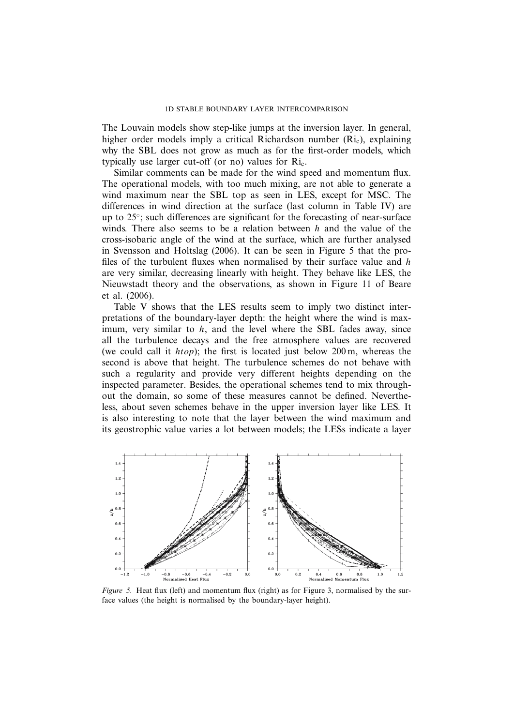The Louvain models show step-like jumps at the inversion layer. In general, higher order models imply a critical Richardson number (Ri<sub>c</sub>), explaining why the SBL does not grow as much as for the first-order models, which typically use larger cut-off (or no) values for Ric.

Similar comments can be made for the wind speed and momentum flux. The operational models, with too much mixing, are not able to generate a wind maximum near the SBL top as seen in LES, except for MSC. The differences in wind direction at the surface (last column in Table IV) are up to 25◦; such differences are significant for the forecasting of near-surface winds. There also seems to be a relation between *h* and the value of the cross-isobaric angle of the wind at the surface, which are further analysed in Svensson and Holtslag (2006). It can be seen in Figure 5 that the profiles of the turbulent fluxes when normalised by their surface value and *h* are very similar, decreasing linearly with height. They behave like LES, the Nieuwstadt theory and the observations, as shown in Figure 11 of Beare et al. (2006).

Table V shows that the LES results seem to imply two distinct interpretations of the boundary-layer depth: the height where the wind is maximum, very similar to *h*, and the level where the SBL fades away, since all the turbulence decays and the free atmosphere values are recovered (we could call it *htop*); the first is located just below 200 m, whereas the second is above that height. The turbulence schemes do not behave with such a regularity and provide very different heights depending on the inspected parameter. Besides, the operational schemes tend to mix throughout the domain, so some of these measures cannot be defined. Nevertheless, about seven schemes behave in the upper inversion layer like LES. It is also interesting to note that the layer between the wind maximum and its geostrophic value varies a lot between models; the LESs indicate a layer



*Figure 5.* Heat flux (left) and momentum flux (right) as for Figure 3, normalised by the surface values (the height is normalised by the boundary-layer height).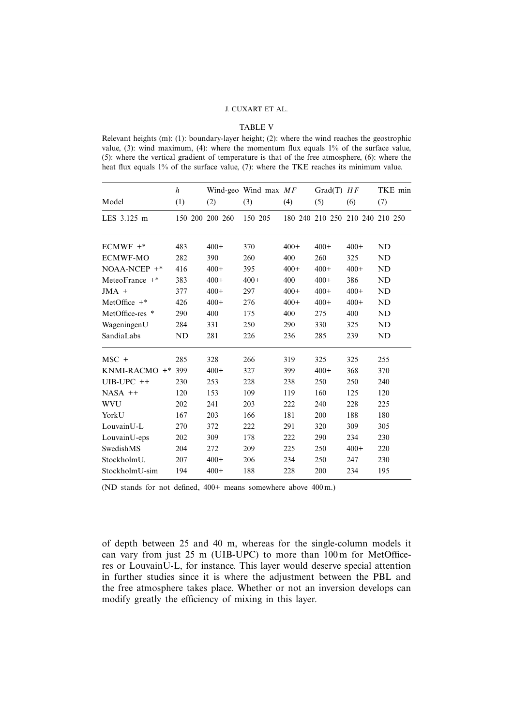## TABLE V

Relevant heights (m): (1): boundary-layer height; (2): where the wind reaches the geostrophic value, (3): wind maximum, (4): where the momentum flux equals  $1\%$  of the surface value, (5): where the vertical gradient of temperature is that of the free atmosphere, (6): where the heat flux equals 1% of the surface value, (7): where the TKE reaches its minimum value.

| Model                      | $\boldsymbol{h}$<br>(1) | (2)             | Wind-geo Wind max $MF$<br>(3) | (4)    | Grad $(T)$ HF<br>(5)            | (6)    | TKE min<br>(7) |
|----------------------------|-------------------------|-----------------|-------------------------------|--------|---------------------------------|--------|----------------|
| LES 3.125 m                |                         | 150-200 200-260 | $150 - 205$                   |        | 180-240 210-250 210-240 210-250 |        |                |
| $ECMWF +$                  | 483                     | $400+$          | 370                           | $400+$ | $400+$                          | $400+$ | ND             |
| <b>ECMWF-MO</b>            | 282                     | 390             | 260                           | 400    | 260                             | 325    | ND             |
| $NOAA-NCEP$ +*             | 416                     | $400+$          | 395                           | $400+$ | $400+$                          | $400+$ | <b>ND</b>      |
| MeteoFrance $+$ *          | 383                     | $400+$          | $400+$                        | 400    | $400+$                          | 386    | ND             |
| $JMA +$                    | 377                     | $400+$          | 297                           | $400+$ | $400+$                          | $400+$ | <b>ND</b>      |
| MetOffice $+$ *            | 426                     | $400+$          | 276                           | $400+$ | $400+$                          | $400+$ | ND             |
| MetOffice-res <sup>*</sup> | 290                     | 400             | 175                           | 400    | 275                             | 400    | <b>ND</b>      |
| WageningenU                | 284                     | 331             | 250                           | 290    | 330                             | 325    | ND             |
| SandiaLabs                 | ND                      | 281             | 226                           | 236    | 285                             | 239    | ND             |
| $MSC +$                    | 285                     | 328             | 266                           | 319    | 325                             | 325    | 255            |
| $KNMI-RACMO +*$            | 399                     | $400+$          | 327                           | 399    | $400+$                          | 368    | 370            |
| $UIB-UPC$ ++               | 230                     | 253             | 228                           | 238    | 250                             | 250    | 240            |
| $NASA$ ++                  | 120                     | 153             | 109                           | 119    | 160                             | 125    | 120            |
| <b>WVU</b>                 | 202                     | 241             | 203                           | 222    | 240                             | 228    | 225            |
| YorkU                      | 167                     | 203             | 166                           | 181    | 200                             | 188    | 180            |
| LouvainU-L                 | 270                     | 372             | 222                           | 291    | 320                             | 309    | 305            |
| Louvain U-eps              | 202                     | 309             | 178                           | 222    | 290                             | 234    | 230            |
| SwedishMS                  | 204                     | 272             | 209                           | 225    | 250                             | $400+$ | 220            |
| StockholmU.                | 207                     | $400+$          | 206                           | 234    | 250                             | 247    | 230            |
| StockholmU-sim             | 194                     | $400+$          | 188                           | 228    | 200                             | 234    | 195            |

(ND stands for not defined, 400+ means somewhere above 400 m.)

of depth between 25 and 40 m, whereas for the single-column models it can vary from just 25 m (UIB-UPC) to more than 100 m for MetOfficeres or LouvainU-L, for instance. This layer would deserve special attention in further studies since it is where the adjustment between the PBL and the free atmosphere takes place. Whether or not an inversion develops can modify greatly the efficiency of mixing in this layer.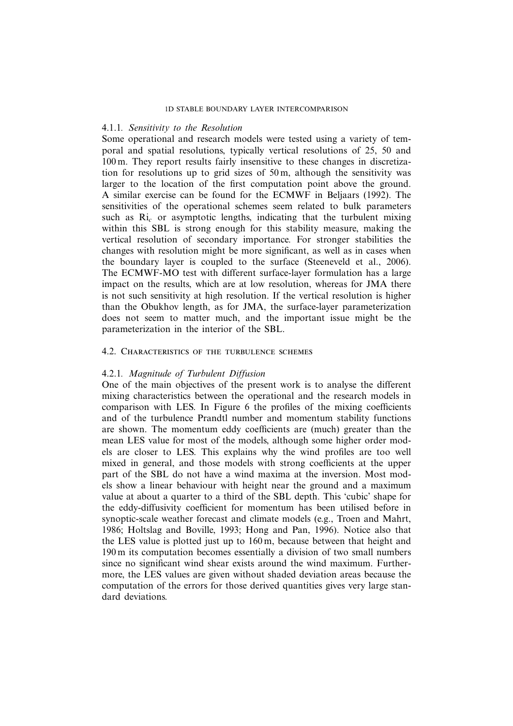# 4.1.1*. Sensitivity to the Resolution*

Some operational and research models were tested using a variety of temporal and spatial resolutions, typically vertical resolutions of 25, 50 and 100 m. They report results fairly insensitive to these changes in discretization for resolutions up to grid sizes of 50 m, although the sensitivity was larger to the location of the first computation point above the ground. A similar exercise can be found for the ECMWF in Beljaars (1992). The sensitivities of the operational schemes seem related to bulk parameters such as Ri*c* or asymptotic lengths, indicating that the turbulent mixing within this SBL is strong enough for this stability measure, making the vertical resolution of secondary importance. For stronger stabilities the changes with resolution might be more significant, as well as in cases when the boundary layer is coupled to the surface (Steeneveld et al., 2006). The ECMWF-MO test with different surface-layer formulation has a large impact on the results, which are at low resolution, whereas for JMA there is not such sensitivity at high resolution. If the vertical resolution is higher than the Obukhov length, as for JMA, the surface-layer parameterization does not seem to matter much, and the important issue might be the parameterization in the interior of the SBL.

# 4.2. Characteristics of the turbulence schemes

# 4.2.1*. Magnitude of Turbulent Diffusion*

One of the main objectives of the present work is to analyse the different mixing characteristics between the operational and the research models in comparison with LES. In Figure 6 the profiles of the mixing coefficients and of the turbulence Prandtl number and momentum stability functions are shown. The momentum eddy coefficients are (much) greater than the mean LES value for most of the models, although some higher order models are closer to LES. This explains why the wind profiles are too well mixed in general, and those models with strong coefficients at the upper part of the SBL do not have a wind maxima at the inversion. Most models show a linear behaviour with height near the ground and a maximum value at about a quarter to a third of the SBL depth. This 'cubic' shape for the eddy-diffusivity coefficient for momentum has been utilised before in synoptic-scale weather forecast and climate models (e.g., Troen and Mahrt, 1986; Holtslag and Boville, 1993; Hong and Pan, 1996). Notice also that the LES value is plotted just up to 160 m, because between that height and 190 m its computation becomes essentially a division of two small numbers since no significant wind shear exists around the wind maximum. Furthermore, the LES values are given without shaded deviation areas because the computation of the errors for those derived quantities gives very large standard deviations.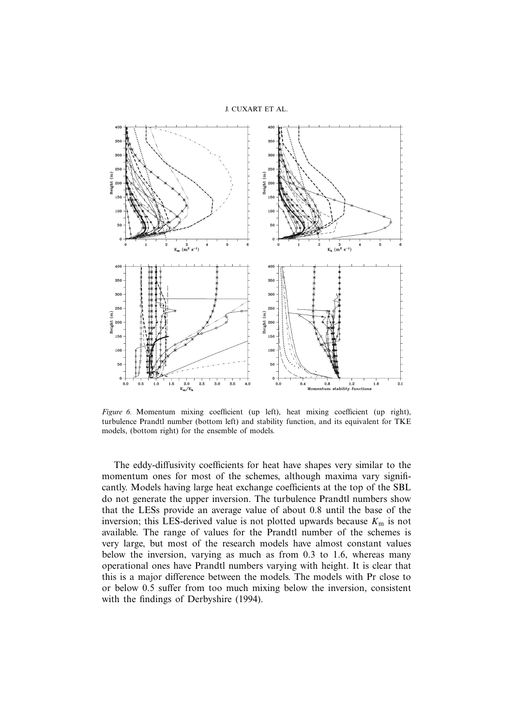

*Figure 6.* Momentum mixing coefficient (up left), heat mixing coefficient (up right), turbulence Prandtl number (bottom left) and stability function, and its equivalent for TKE models, (bottom right) for the ensemble of models.

The eddy-diffusivity coefficients for heat have shapes very similar to the momentum ones for most of the schemes, although maxima vary significantly. Models having large heat exchange coefficients at the top of the SBL do not generate the upper inversion. The turbulence Prandtl numbers show that the LESs provide an average value of about 0.8 until the base of the inversion; this LES-derived value is not plotted upwards because  $K<sub>m</sub>$  is not available. The range of values for the Prandtl number of the schemes is very large, but most of the research models have almost constant values below the inversion, varying as much as from 0.3 to 1.6, whereas many operational ones have Prandtl numbers varying with height. It is clear that this is a major difference between the models. The models with Pr close to or below 0.5 suffer from too much mixing below the inversion, consistent with the findings of Derbyshire (1994).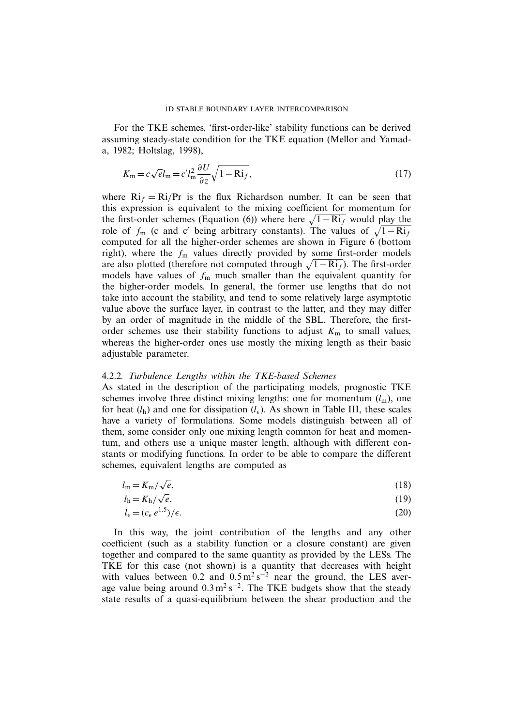For the TKE schemes, 'first-order-like' stability functions can be derived assuming steady-state condition for the TKE equation (Mellor and Yamada, 1982; Holtslag, 1998),

$$
K_{\rm m} = c\sqrt{e}l_{\rm m} = c'l_{\rm m}^2 \frac{\partial U}{\partial z} \sqrt{1 - Ri_f},\tag{17}
$$

where  $\text{Ri}_f = \text{Ri}/\text{Pr}$  is the flux Richardson number. It can be seen that this expression is equivalent to the mixing coefficient for momentum for this expression is equivalent to the mixing coefficient for momentum for the first-order schemes (Equation (6)) where here  $\sqrt{1-Ri_f}$  would play the role of  $f_m$  (c and c' being arbitrary constants). The values of  $\sqrt{1-Ri_f}$ computed for all the higher-order schemes are shown in Figure 6 (bottom right), where the  $f<sub>m</sub>$  values directly provided by some first-order models are also plotted (therefore not computed through 1−Ri*f* ). The first-order models have values of  $f_m$  much smaller than the equivalent quantity for the higher-order models. In general, the former use lengths that do not take into account the stability, and tend to some relatively large asymptotic value above the surface layer, in contrast to the latter, and they may differ by an order of magnitude in the middle of the SBL. Therefore, the firstorder schemes use their stability functions to adjust  $K<sub>m</sub>$  to small values, whereas the higher-order ones use mostly the mixing length as their basic adjustable parameter.

# 4.2.2*. Turbulence Lengths within the TKE-based Schemes*

As stated in the description of the participating models, prognostic TKE schemes involve three distinct mixing lengths: one for momentum  $(l<sub>m</sub>)$ , one for heat  $(l<sub>h</sub>)$  and one for dissipation  $(l<sub>\epsilon</sub>)$ . As shown in Table III, these scales have a variety of formulations. Some models distinguish between all of them, some consider only one mixing length common for heat and momentum, and others use a unique master length, although with different constants or modifying functions. In order to be able to compare the different schemes, equivalent lengths are computed as

$$
l_{\rm m} = K_{\rm m}/\sqrt{e},\tag{18}
$$
  

$$
l_{\rm m} = K_{\rm t}/\sqrt{e}\tag{19}
$$

$$
l_h = K_h / \sqrt{e},\tag{19}
$$

$$
l_{\epsilon} = (c_{\epsilon} e^{1.5})/\epsilon.
$$
 (20)

In this way, the joint contribution of the lengths and any other coefficient (such as a stability function or a closure constant) are given together and compared to the same quantity as provided by the LESs. The TKE for this case (not shown) is a quantity that decreases with height with values between 0.2 and  $0.5 \,\mathrm{m^2\,s^{-2}}$  near the ground, the LES average value being around  $0.3 \text{ m}^2 \text{ s}^{-2}$ . The TKE budgets show that the steady state results of a quasi-equilibrium between the shear production and the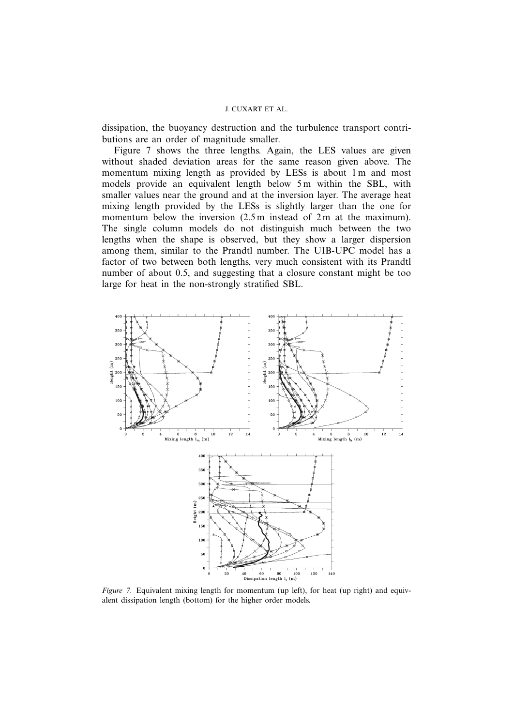dissipation, the buoyancy destruction and the turbulence transport contributions are an order of magnitude smaller.

Figure 7 shows the three lengths. Again, the LES values are given without shaded deviation areas for the same reason given above. The momentum mixing length as provided by LESs is about 1 m and most models provide an equivalent length below 5 m within the SBL, with smaller values near the ground and at the inversion layer. The average heat mixing length provided by the LESs is slightly larger than the one for momentum below the inversion  $(2.5 \text{ m}$  instead of  $2 \text{ m}$  at the maximum). The single column models do not distinguish much between the two lengths when the shape is observed, but they show a larger dispersion among them, similar to the Prandtl number. The UIB-UPC model has a factor of two between both lengths, very much consistent with its Prandtl number of about 0.5, and suggesting that a closure constant might be too large for heat in the non-strongly stratified SBL.



*Figure 7.* Equivalent mixing length for momentum (up left), for heat (up right) and equivalent dissipation length (bottom) for the higher order models.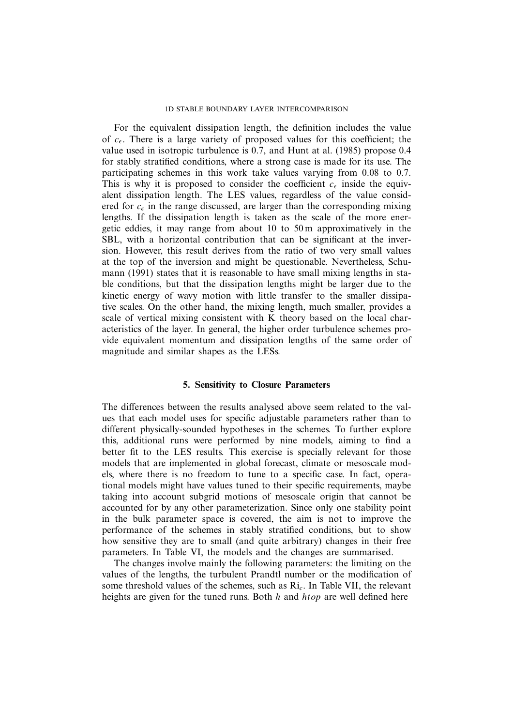For the equivalent dissipation length, the definition includes the value of  $c_{\epsilon}$ . There is a large variety of proposed values for this coefficient; the value used in isotropic turbulence is 0.7, and Hunt at al. (1985) propose 0.4 for stably stratified conditions, where a strong case is made for its use. The participating schemes in this work take values varying from 0.08 to 0.7. This is why it is proposed to consider the coefficient  $c_{\epsilon}$  inside the equivalent dissipation length. The LES values, regardless of the value considered for  $c_{\epsilon}$  in the range discussed, are larger than the corresponding mixing lengths. If the dissipation length is taken as the scale of the more energetic eddies, it may range from about 10 to 50 m approximatively in the SBL, with a horizontal contribution that can be significant at the inversion. However, this result derives from the ratio of two very small values at the top of the inversion and might be questionable. Nevertheless, Schumann (1991) states that it is reasonable to have small mixing lengths in stable conditions, but that the dissipation lengths might be larger due to the kinetic energy of wavy motion with little transfer to the smaller dissipative scales. On the other hand, the mixing length, much smaller, provides a scale of vertical mixing consistent with K theory based on the local characteristics of the layer. In general, the higher order turbulence schemes provide equivalent momentum and dissipation lengths of the same order of magnitude and similar shapes as the LESs.

### **5. Sensitivity to Closure Parameters**

The differences between the results analysed above seem related to the values that each model uses for specific adjustable parameters rather than to different physically-sounded hypotheses in the schemes. To further explore this, additional runs were performed by nine models, aiming to find a better fit to the LES results. This exercise is specially relevant for those models that are implemented in global forecast, climate or mesoscale models, where there is no freedom to tune to a specific case. In fact, operational models might have values tuned to their specific requirements, maybe taking into account subgrid motions of mesoscale origin that cannot be accounted for by any other parameterization. Since only one stability point in the bulk parameter space is covered, the aim is not to improve the performance of the schemes in stably stratified conditions, but to show how sensitive they are to small (and quite arbitrary) changes in their free parameters. In Table VI, the models and the changes are summarised.

The changes involve mainly the following parameters: the limiting on the values of the lengths, the turbulent Prandtl number or the modification of some threshold values of the schemes, such as Ri*c*. In Table VII, the relevant heights are given for the tuned runs. Both *h* and *htop* are well defined here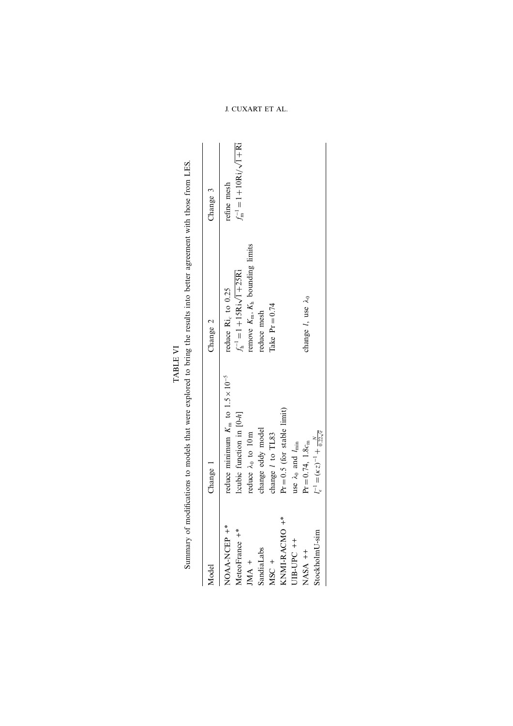| Model                   | Change 1                                                              | Change 2                                         | Change 3                                            |
|-------------------------|-----------------------------------------------------------------------|--------------------------------------------------|-----------------------------------------------------|
| NOAA-NCEP <sup>+*</sup> | reduce minimum $K_{\rm m}$ to $1.5 \times 10^{-5}$                    | reduce $\mathrm{Ri}_c$ to 0.25                   | refine mesh                                         |
| MeteoFrance +*          | l:cubic function in [0-h]                                             | $f_h^{-1} = 1 + 15Ri\sqrt{1 + 25Ri}$             | $f_{\rm m}^{-1}\!=\!1+10{\rm Ri}/\sqrt{1+{\rm Ri}}$ |
| $JMA +$                 | reduce $\lambda_0$ to $10 \text{ m}$                                  | remove $K_{\rm m}$ , $K_{\rm h}$ bounding limits |                                                     |
| <b>SandiaLabs</b>       | change eddy model                                                     | reduce mesh                                      |                                                     |
| $MSC +$                 | change 1 to TL83                                                      | Take $Pr = 0.74$                                 |                                                     |
| KNMI-RACMO +*           | $Pr = 0.5$ (for stable limit)                                         |                                                  |                                                     |
| UIB-UPC ++              | use $\lambda_0$ and $l_{\min}$                                        |                                                  |                                                     |
| NASA ++                 | $Pr = 0.74, 1.8c_m$                                                   | change $l$ , use $\lambda_0$                     |                                                     |
| Stockholm U-sim         | $l_{\epsilon}^{-1} = (\kappa z)^{-1} + \frac{N}{0.22\sqrt{\epsilon}}$ |                                                  |                                                     |

Summary of modifications to models that were explored to bring the results into better agreement with those from LES. Summary of modifications to models that were explored to bring the results into better agreement with those from LES. TABLE VI

TABLE VI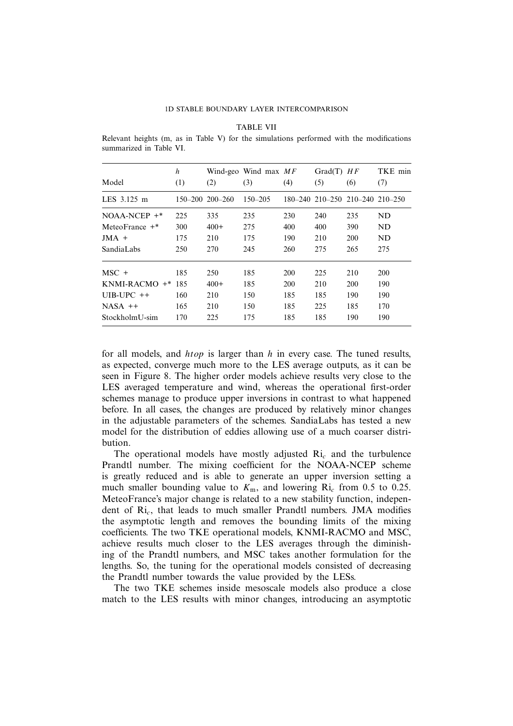Relevant heights (m, as in Table V) for the simulations performed with the modifications summarized in Table VI.

| Model             | $\boldsymbol{h}$<br>(1) | (2)             | Wind-geo Wind max $MF$<br>(3) | (4) | Grad $(T)$ HF<br>(5)            | (6) | TKE min<br>(7) |
|-------------------|-------------------------|-----------------|-------------------------------|-----|---------------------------------|-----|----------------|
| LES 3.125 m       |                         | 150-200 200-260 | $150 - 205$                   |     | 180-240 210-250 210-240 210-250 |     |                |
| $NOAA-NCEP$ +*    | 225                     | 335             | 235                           | 230 | 240                             | 235 | ND             |
| MeteoFrance $+$ * | 300                     | $400+$          | 275                           | 400 | 400                             | 390 | ND             |
| $JMA +$           | 175                     | 210             | 175                           | 190 | 210                             | 200 | ND             |
| SandiaLabs        | 250                     | 270             | 245                           | 260 | 275                             | 265 | 275            |
| $MSC +$           | 185                     | 250             | 185                           | 200 | 225                             | 210 | 200            |
| $KNMI-RACMO +$    | 185                     | $400+$          | 185                           | 200 | 210                             | 200 | 190            |
| $UIB-UPC$ ++      | 160                     | 210             | 150                           | 185 | 185                             | 190 | 190            |
| $NASA$ ++         | 165                     | 210             | 150                           | 185 | 225                             | 185 | 170            |
| StockholmU-sim    | 170                     | 225             | 175                           | 185 | 185                             | 190 | 190            |

for all models, and *htop* is larger than *h* in every case. The tuned results, as expected, converge much more to the LES average outputs, as it can be seen in Figure 8. The higher order models achieve results very close to the LES averaged temperature and wind, whereas the operational first-order schemes manage to produce upper inversions in contrast to what happened before. In all cases, the changes are produced by relatively minor changes in the adjustable parameters of the schemes. SandiaLabs has tested a new model for the distribution of eddies allowing use of a much coarser distribution.

The operational models have mostly adjusted Ri*c* and the turbulence Prandtl number. The mixing coefficient for the NOAA-NCEP scheme is greatly reduced and is able to generate an upper inversion setting a much smaller bounding value to  $K<sub>m</sub>$ , and lowering  $\text{Ri}_c$  from 0.5 to 0.25. MeteoFrance's major change is related to a new stability function, independent of Ri*c*, that leads to much smaller Prandtl numbers. JMA modifies the asymptotic length and removes the bounding limits of the mixing coefficients. The two TKE operational models, KNMI-RACMO and MSC, achieve results much closer to the LES averages through the diminishing of the Prandtl numbers, and MSC takes another formulation for the lengths. So, the tuning for the operational models consisted of decreasing the Prandtl number towards the value provided by the LESs.

The two TKE schemes inside mesoscale models also produce a close match to the LES results with minor changes, introducing an asymptotic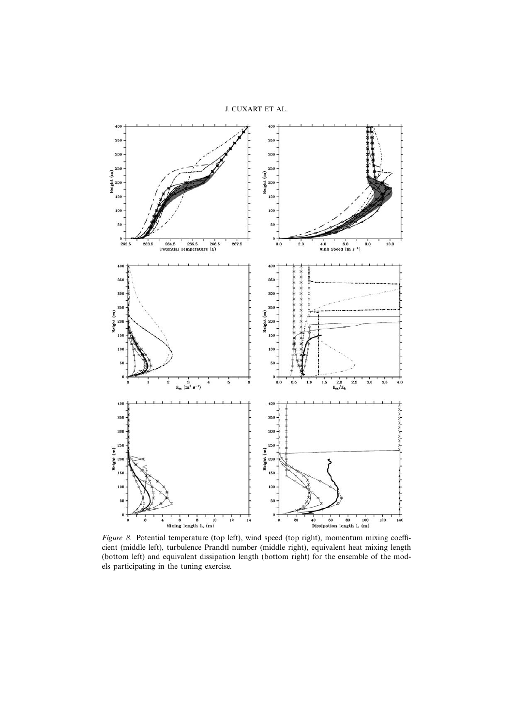

*Figure 8.* Potential temperature (top left), wind speed (top right), momentum mixing coefficient (middle left), turbulence Prandtl number (middle right), equivalent heat mixing length (bottom left) and equivalent dissipation length (bottom right) for the ensemble of the models participating in the tuning exercise.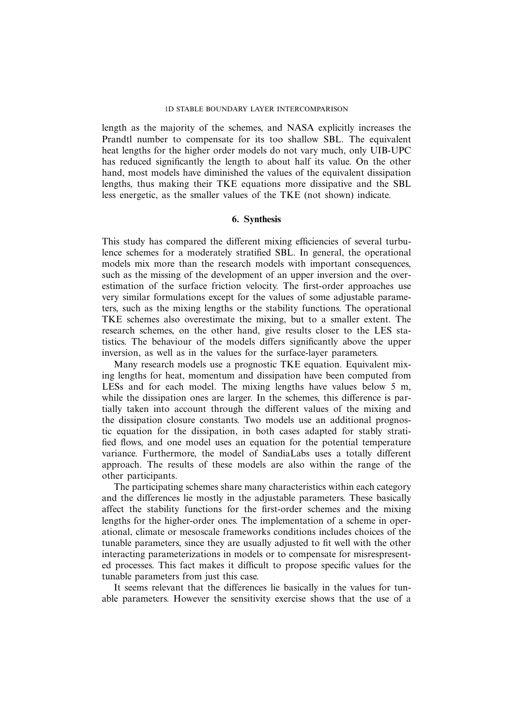length as the majority of the schemes, and NASA explicitly increases the Prandtl number to compensate for its too shallow SBL. The equivalent heat lengths for the higher order models do not vary much, only UIB-UPC has reduced significantly the length to about half its value. On the other hand, most models have diminished the values of the equivalent dissipation lengths, thus making their TKE equations more dissipative and the SBL less energetic, as the smaller values of the TKE (not shown) indicate.

# **6. Synthesis**

This study has compared the different mixing efficiencies of several turbulence schemes for a moderately stratified SBL. In general, the operational models mix more than the research models with important consequences, such as the missing of the development of an upper inversion and the overestimation of the surface friction velocity. The first-order approaches use very similar formulations except for the values of some adjustable parameters, such as the mixing lengths or the stability functions. The operational TKE schemes also overestimate the mixing, but to a smaller extent. The research schemes, on the other hand, give results closer to the LES statistics. The behaviour of the models differs significantly above the upper inversion, as well as in the values for the surface-layer parameters.

Many research models use a prognostic TKE equation. Equivalent mixing lengths for heat, momentum and dissipation have been computed from LESs and for each model. The mixing lengths have values below 5 m, while the dissipation ones are larger. In the schemes, this difference is partially taken into account through the different values of the mixing and the dissipation closure constants. Two models use an additional prognostic equation for the dissipation, in both cases adapted for stably stratified flows, and one model uses an equation for the potential temperature variance. Furthermore, the model of SandiaLabs uses a totally different approach. The results of these models are also within the range of the other participants.

The participating schemes share many characteristics within each category and the differences lie mostly in the adjustable parameters. These basically affect the stability functions for the first-order schemes and the mixing lengths for the higher-order ones. The implementation of a scheme in operational, climate or mesoscale frameworks conditions includes choices of the tunable parameters, since they are usually adjusted to fit well with the other interacting parameterizations in models or to compensate for misrespresented processes. This fact makes it difficult to propose specific values for the tunable parameters from just this case.

It seems relevant that the differences lie basically in the values for tunable parameters. However the sensitivity exercise shows that the use of a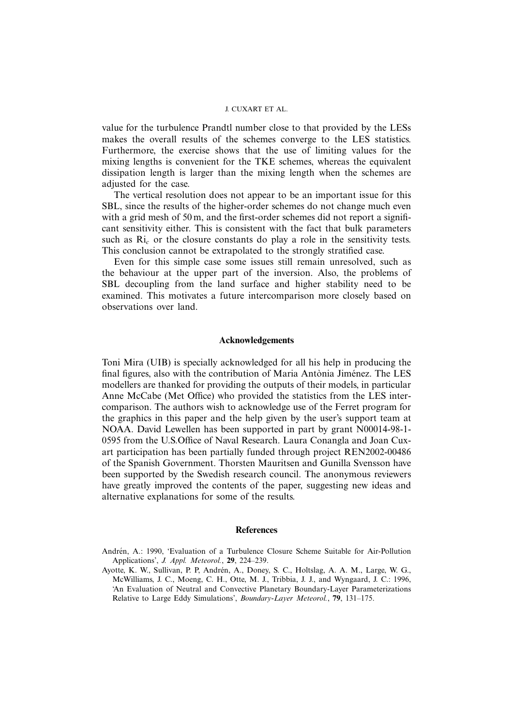value for the turbulence Prandtl number close to that provided by the LESs makes the overall results of the schemes converge to the LES statistics. Furthermore, the exercise shows that the use of limiting values for the mixing lengths is convenient for the TKE schemes, whereas the equivalent dissipation length is larger than the mixing length when the schemes are adjusted for the case.

The vertical resolution does not appear to be an important issue for this SBL, since the results of the higher-order schemes do not change much even with a grid mesh of 50 m, and the first-order schemes did not report a significant sensitivity either. This is consistent with the fact that bulk parameters such as Ri*c* or the closure constants do play a role in the sensitivity tests. This conclusion cannot be extrapolated to the strongly stratified case.

Even for this simple case some issues still remain unresolved, such as the behaviour at the upper part of the inversion. Also, the problems of SBL decoupling from the land surface and higher stability need to be examined. This motivates a future intercomparison more closely based on observations over land.

# **Acknowledgements**

Toni Mira (UIB) is specially acknowledged for all his help in producing the final figures, also with the contribution of Maria Antònia Jiménez. The LES modellers are thanked for providing the outputs of their models, in particular Anne McCabe (Met Office) who provided the statistics from the LES intercomparison. The authors wish to acknowledge use of the Ferret program for the graphics in this paper and the help given by the user's support team at NOAA. David Lewellen has been supported in part by grant N00014-98-1- 0595 from the U.S.Office of Naval Research. Laura Conangla and Joan Cuxart participation has been partially funded through project REN2002-00486 of the Spanish Government. Thorsten Mauritsen and Gunilla Svensson have been supported by the Swedish research council. The anonymous reviewers have greatly improved the contents of the paper, suggesting new ideas and alternative explanations for some of the results.

### **References**

Andrén, A.: 1990, 'Evaluation of a Turbulence Closure Scheme Suitable for Air-Pollution Applications', *J. Appl. Meteorol.*, **29**, 224–239.

Ayotte, K. W., Sullivan, P. P, Andrén, A., Doney, S. C., Holtslag, A. A. M., Large, W. G., McWilliams, J. C., Moeng, C. H., Otte, M. J., Tribbia, J. J., and Wyngaard, J. C.: 1996, 'An Evaluation of Neutral and Convective Planetary Boundary-Layer Parameterizations Relative to Large Eddy Simulations', *Boundary-Layer Meteorol.*, **79**, 131–175.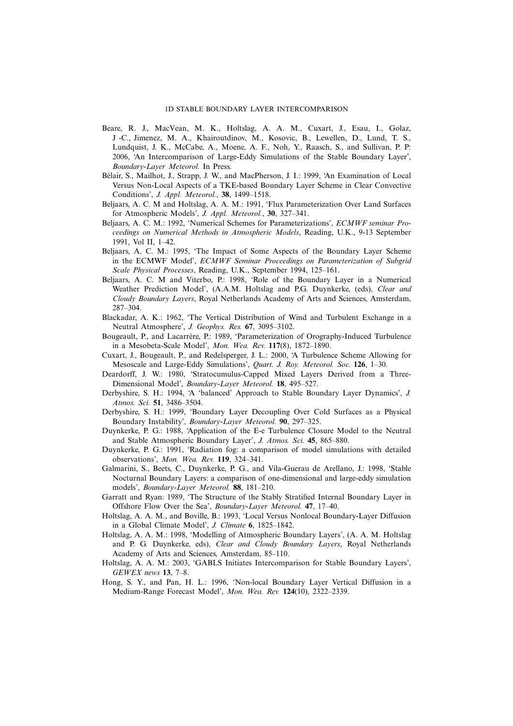- Beare, R. J., MacVean, M. K., Holtslag, A. A. M., Cuxart, J., Esau, I., Golaz, J -C., Jimenez, M. A., Khairoutdinov, M., Kosovic, B., Lewellen, D., Lund, T. S., Lundquist, J. K., McCabe, A., Moene, A. F., Noh, Y., Raasch, S., and Sullivan, P. P: 2006, 'An Intercomparison of Large-Eddy Simulations of the Stable Boundary Layer', *Boundary-Layer Meteorol.* In Press.
- Belair, S., Mailhot, J., Strapp, J. W., and MacPherson, J. I.: 1999, 'An Examination of Local ´ Versus Non-Local Aspects of a TKE-based Boundary Layer Scheme in Clear Convective Conditions', *J. Appl. Meteorol.*, **38**, 1499–1518.
- Beljaars, A. C. M and Holtslag, A. A. M.: 1991, 'Flux Parameterization Over Land Surfaces for Atmospheric Models', *J. Appl. Meteorol.*, **30**, 327–341.
- Beljaars, A. C. M.: 1992, 'Numerical Schemes for Parameterizations', *ECMWF seminar Proceedings on Numerical Methods in Atmospheric Models*, Reading, U.K., 9-13 September 1991, Vol II, 1–42.
- Beljaars, A. C. M.: 1995, 'The Impact of Some Aspects of the Boundary Layer Scheme in the ECMWF Model', *ECMWF Seminar Proceedings on Parameterization of Subgrid Scale Physical Processes*, Reading, U.K., September 1994, 125–161.
- Beljaars, A. C. M and Viterbo, P.: 1998, 'Role of the Boundary Layer in a Numerical Weather Prediction Model', (A.A.M. Holtslag and P.G. Duynkerke, (eds), *Clear and Cloudy Boundary Layers*, Royal Netherlands Academy of Arts and Sciences, Amsterdam, 287–304.
- Blackadar, A. K.: 1962, 'The Vertical Distribution of Wind and Turbulent Exchange in a Neutral Atmosphere', *J. Geophys. Res.* **67**, 3095–3102.
- Bougeault, P., and Lacarrere, P.: 1989, 'Parameterization of Orography-Induced Turbulence in a Mesobeta-Scale Model', *Mon. Wea. Rev.* **117**(8), 1872–1890.
- Cuxart, J., Bougeault, P., and Redelsperger, J. L.: 2000, 'A Turbulence Scheme Allowing for Mesoscale and Large-Eddy Simulations', *Quart. J. Roy. Meteorol. Soc.* **126**, 1–30.
- Deardorff, J. W.: 1980, 'Stratocumulus-Capped Mixed Layers Derived from a Three-Dimensional Model', *Boundary-Layer Meteorol.* **18**, 495–527.
- Derbyshire, S. H.: 1994, 'A 'balanced' Approach to Stable Boundary Layer Dynamics', *J. Atmos. Sci.* **51**, 3486–3504.
- Derbyshire, S. H.: 1999, 'Boundary Layer Decoupling Over Cold Surfaces as a Physical Boundary Instability', *Boundary-Layer Meteorol.* **90**, 297–325.
- Duynkerke, P. G.: 1988, 'Application of the E-e Turbulence Closure Model to the Neutral and Stable Atmospheric Boundary Layer', *J. Atmos. Sci.* **45**, 865–880.
- Duynkerke, P. G.: 1991, 'Radiation fog: a comparison of model simulations with detailed observations', *Mon. Wea. Rev.* **119**, 324–341.
- Galmarini, S., Beets, C., Duynkerke, P. G., and Vila-Guerau de Arellano, J.: 1998, 'Stable Nocturnal Boundary Layers: a comparison of one-dimensional and large-eddy simulation models', *Boundary-Layer Meteorol.* **88**, 181–210.
- Garratt and Ryan: 1989, 'The Structure of the Stably Stratified Internal Boundary Layer in Offshore Flow Over the Sea', *Boundary-Layer Meteorol.* **47**, 17–40.
- Holtslag, A. A. M., and Boville, B.: 1993, 'Local Versus Nonlocal Boundary-Layer Diffusion in a Global Climate Model', *J. Climate* **6**, 1825–1842.
- Holtslag, A. A. M.: 1998, 'Modelling of Atmospheric Boundary Layers', (A. A. M. Holtslag and P. G. Duynkerke, eds), *Clear and Cloudy Boundary Layers*, Royal Netherlands Academy of Arts and Sciences, Amsterdam, 85–110.
- Holtslag, A. A. M.: 2003, 'GABLS Initiates Intercomparison for Stable Boundary Layers', *GEWEX news* **13**, 7–8.
- Hong, S. Y., and Pan, H. L.: 1996, 'Non-local Boundary Layer Vertical Diffusion in a Medium-Range Forecast Model', *Mon. Wea. Rev.* **124**(10), 2322–2339.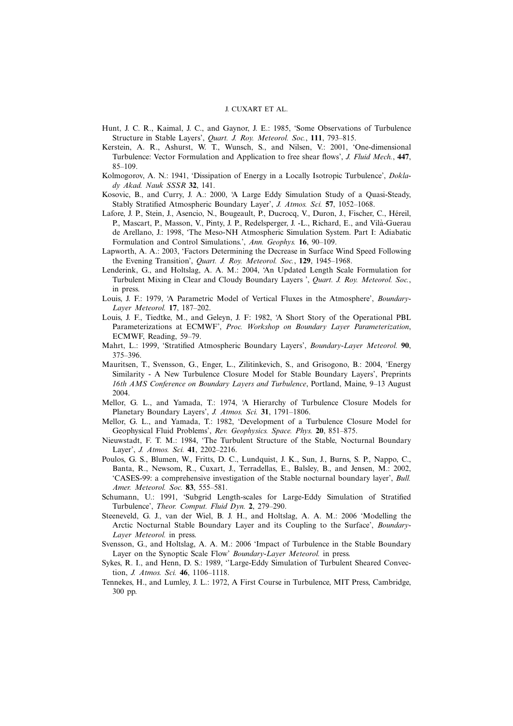- Hunt, J. C. R., Kaimal, J. C., and Gaynor, J. E.: 1985, 'Some Observations of Turbulence Structure in Stable Layers', *Quart. J. Roy. Meteorol. Soc.*, **111**, 793–815.
- Kerstein, A. R., Ashurst, W. T., Wunsch, S., and Nilsen, V.: 2001, 'One-dimensional Turbulence: Vector Formulation and Application to free shear flows', *J. Fluid Mech.*, **447**, 85–109.
- Kolmogorov, A. N.: 1941, 'Dissipation of Energy in a Locally Isotropic Turbulence', *Doklady Akad. Nauk SSSR* **32**, 141.
- Kosovic, B., and Curry, J. A.: 2000, 'A Large Eddy Simulation Study of a Quasi-Steady, Stably Stratified Atmospheric Boundary Layer', *J. Atmos. Sci.* **57**, 1052–1068.
- Lafore, J. P., Stein, J., Asencio, N., Bougeault, P., Ducrocq, V., Duron, J., Fischer, C., Hereil, ´ P., Mascart, P., Masson, V., Pinty, J. P., Redelsperger, J. -L., Richard, E., and Vila-Guerau ` de Arellano, J.: 1998, 'The Meso-NH Atmospheric Simulation System. Part I: Adiabatic Formulation and Control Simulations.', *Ann. Geophys.* **16**, 90–109.
- Lapworth, A. A.: 2003, 'Factors Determining the Decrease in Surface Wind Speed Following the Evening Transition', *Quart. J. Roy. Meteorol. Soc.*, **129**, 1945–1968.
- Lenderink, G., and Holtslag, A. A. M.: 2004, 'An Updated Length Scale Formulation for Turbulent Mixing in Clear and Cloudy Boundary Layers ', *Quart. J. Roy. Meteorol. Soc.*, in press.
- Louis, J. F.: 1979, 'A Parametric Model of Vertical Fluxes in the Atmosphere', *Boundary-Layer Meteorol.* **17**, 187–202.
- Louis, J. F., Tiedtke, M., and Geleyn, J. F: 1982, 'A Short Story of the Operational PBL Parameterizations at ECMWF', *Proc. Workshop on Boundary Layer Parameterization*, ECMWF, Reading, 59–79.
- Mahrt, L.: 1999, 'Stratified Atmospheric Boundary Layers', *Boundary-Layer Meteorol.* **90**, 375–396.
- Mauritsen, T., Svensson, G., Enger, L., Zilitinkevich, S., and Grisogono, B.: 2004, 'Energy Similarity - A New Turbulence Closure Model for Stable Boundary Layers', Preprints *16th AMS Conference on Boundary Layers and Turbulence*, Portland, Maine, 9–13 August 2004.
- Mellor, G. L., and Yamada, T.: 1974, 'A Hierarchy of Turbulence Closure Models for Planetary Boundary Layers', *J. Atmos. Sci.* **31**, 1791–1806.
- Mellor, G. L., and Yamada, T.: 1982, 'Development of a Turbulence Closure Model for Geophysical Fluid Problems', *Rev. Geophysics. Space. Phys.* **20**, 851–875.
- Nieuwstadt, F. T. M.: 1984, 'The Turbulent Structure of the Stable, Nocturnal Boundary Layer', *J. Atmos. Sci.* **41**, 2202–2216.
- Poulos, G. S., Blumen, W., Fritts, D. C., Lundquist, J. K., Sun, J., Burns, S. P., Nappo, C., Banta, R., Newsom, R., Cuxart, J., Terradellas, E., Balsley, B., and Jensen, M.: 2002, 'CASES-99: a comprehensive investigation of the Stable nocturnal boundary layer', *Bull. Amer. Meteorol. Soc.* **83**, 555–581.
- Schumann, U.: 1991, 'Subgrid Length-scales for Large-Eddy Simulation of Stratified Turbulence', *Theor. Comput. Fluid Dyn.* **2**, 279–290.
- Steeneveld, G. J., van der Wiel, B. J. H., and Holtslag, A. A. M.: 2006 'Modelling the Arctic Nocturnal Stable Boundary Layer and its Coupling to the Surface', *Boundary-Layer Meteorol.* in press.
- Svensson, G., and Holtslag, A. A. M.: 2006 'Impact of Turbulence in the Stable Boundary Layer on the Synoptic Scale Flow' *Boundary-Layer Meteorol.* in press.
- Sykes, R. I., and Henn, D. S.: 1989, ''Large-Eddy Simulation of Turbulent Sheared Convection, *J. Atmos. Sci.* **46**, 1106–1118.
- Tennekes, H., and Lumley, J. L.: 1972, A First Course in Turbulence, MIT Press, Cambridge, 300 pp.